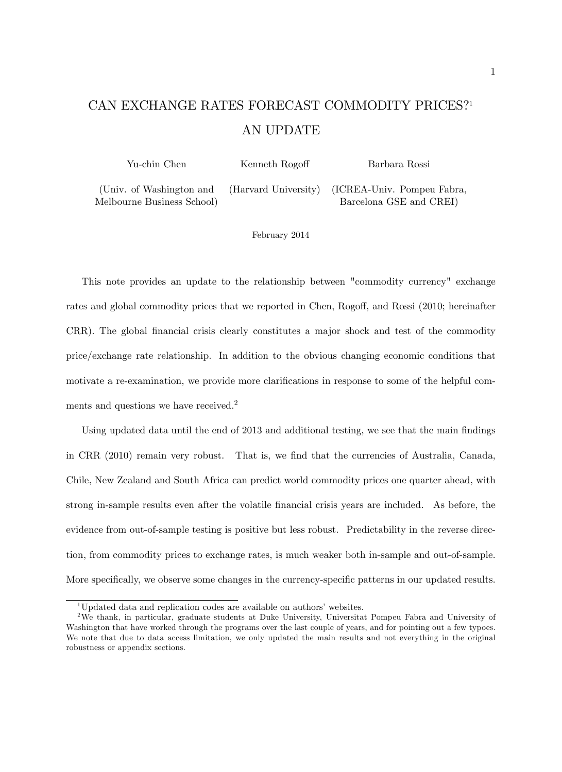# CAN EXCHANGE RATES FORECAST COMMODITY PRICES?<sup>1</sup> AN UPDATE

| Yu-chin Chen               | Kenneth Rogoff | Barbara Rossi                                   |  |  |
|----------------------------|----------------|-------------------------------------------------|--|--|
| (Univ. of Washington and   |                | (Harvard University) (ICREA-Univ. Pompeu Fabra, |  |  |
| Melbourne Business School) |                | Barcelona GSE and CREI)                         |  |  |

February 2014

This note provides an update to the relationship between "commodity currency" exchange rates and global commodity prices that we reported in Chen, Rogoff, and Rossi (2010; hereinafter CRR). The global financial crisis clearly constitutes a major shock and test of the commodity price/exchange rate relationship. In addition to the obvious changing economic conditions that motivate a re-examination, we provide more clarifications in response to some of the helpful comments and questions we have received.<sup>2</sup>

Using updated data until the end of 2013 and additional testing, we see that the main findings in CRR (2010) remain very robust. That is, we Önd that the currencies of Australia, Canada, Chile, New Zealand and South Africa can predict world commodity prices one quarter ahead, with strong in-sample results even after the volatile financial crisis years are included. As before, the evidence from out-of-sample testing is positive but less robust. Predictability in the reverse direction, from commodity prices to exchange rates, is much weaker both in-sample and out-of-sample. More specifically, we observe some changes in the currency-specific patterns in our updated results.

<sup>&</sup>lt;sup>1</sup>Updated data and replication codes are available on authors' websites.

<sup>&</sup>lt;sup>2</sup>We thank, in particular, graduate students at Duke University, Universitat Pompeu Fabra and University of Washington that have worked through the programs over the last couple of years, and for pointing out a few typoes. We note that due to data access limitation, we only updated the main results and not everything in the original robustness or appendix sections.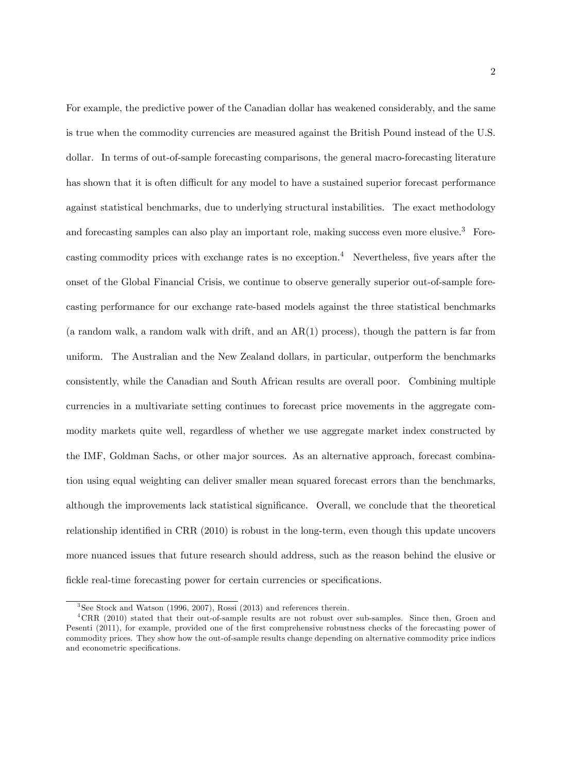For example, the predictive power of the Canadian dollar has weakened considerably, and the same is true when the commodity currencies are measured against the British Pound instead of the U.S. dollar. In terms of out-of-sample forecasting comparisons, the general macro-forecasting literature has shown that it is often difficult for any model to have a sustained superior forecast performance against statistical benchmarks, due to underlying structural instabilities. The exact methodology and forecasting samples can also play an important role, making success even more elusive.<sup>3</sup> Forecasting commodity prices with exchange rates is no exception.<sup>4</sup> Nevertheless, five years after the onset of the Global Financial Crisis, we continue to observe generally superior out-of-sample forecasting performance for our exchange rate-based models against the three statistical benchmarks (a random walk, a random walk with drift, and an  $AR(1)$  process), though the pattern is far from uniform. The Australian and the New Zealand dollars, in particular, outperform the benchmarks consistently, while the Canadian and South African results are overall poor. Combining multiple currencies in a multivariate setting continues to forecast price movements in the aggregate commodity markets quite well, regardless of whether we use aggregate market index constructed by the IMF, Goldman Sachs, or other major sources. As an alternative approach, forecast combination using equal weighting can deliver smaller mean squared forecast errors than the benchmarks, although the improvements lack statistical significance. Overall, we conclude that the theoretical relationship identified in CRR (2010) is robust in the long-term, even though this update uncovers more nuanced issues that future research should address, such as the reason behind the elusive or fickle real-time forecasting power for certain currencies or specifications.

<sup>&</sup>lt;sup>3</sup>See Stock and Watson (1996, 2007), Rossi (2013) and references therein.

<sup>&</sup>lt;sup>4</sup>CRR (2010) stated that their out-of-sample results are not robust over sub-samples. Since then, Groen and Pesenti (2011), for example, provided one of the first comprehensive robustness checks of the forecasting power of commodity prices. They show how the out-of-sample results change depending on alternative commodity price indices and econometric specifications.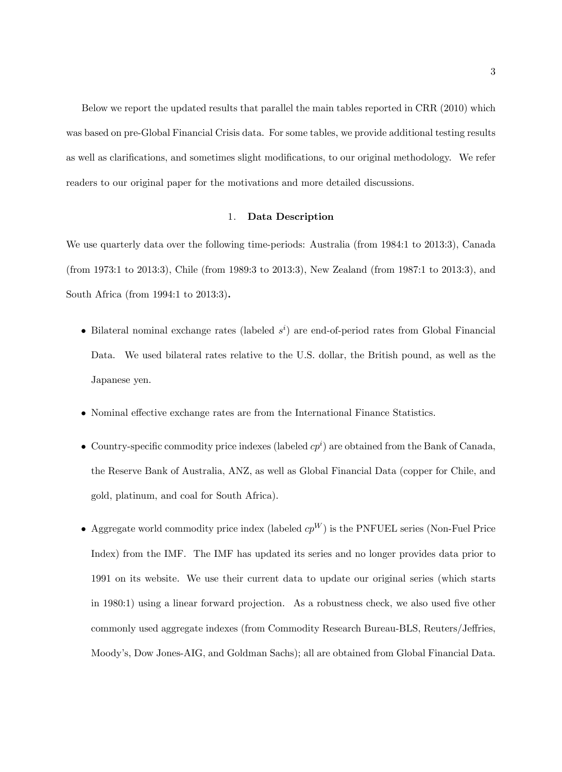Below we report the updated results that parallel the main tables reported in CRR (2010) which was based on pre-Global Financial Crisis data. For some tables, we provide additional testing results as well as clarifications, and sometimes slight modifications, to our original methodology. We refer readers to our original paper for the motivations and more detailed discussions.

#### 1. Data Description

We use quarterly data over the following time-periods: Australia (from 1984:1 to 2013:3), Canada (from 1973:1 to 2013:3), Chile (from 1989:3 to 2013:3), New Zealand (from 1987:1 to 2013:3), and South Africa (from 1994:1 to 2013:3).

- Bilateral nominal exchange rates (labeled  $s^i$ ) are end-of-period rates from Global Financial Data. We used bilateral rates relative to the U.S. dollar, the British pound, as well as the Japanese yen.
- Nominal effective exchange rates are from the International Finance Statistics.
- Country-specific commodity price indexes (labeled  $cp<sup>i</sup>$ ) are obtained from the Bank of Canada, the Reserve Bank of Australia, ANZ, as well as Global Financial Data (copper for Chile, and gold, platinum, and coal for South Africa).
- Aggregate world commodity price index (labeled  $cp^W$ ) is the PNFUEL series (Non-Fuel Price Index) from the IMF. The IMF has updated its series and no longer provides data prior to 1991 on its website. We use their current data to update our original series (which starts in 1980:1) using a linear forward projection. As a robustness check, we also used five other commonly used aggregate indexes (from Commodity Research Bureau-BLS, Reuters/Jeffries, Moodyís, Dow Jones-AIG, and Goldman Sachs); all are obtained from Global Financial Data.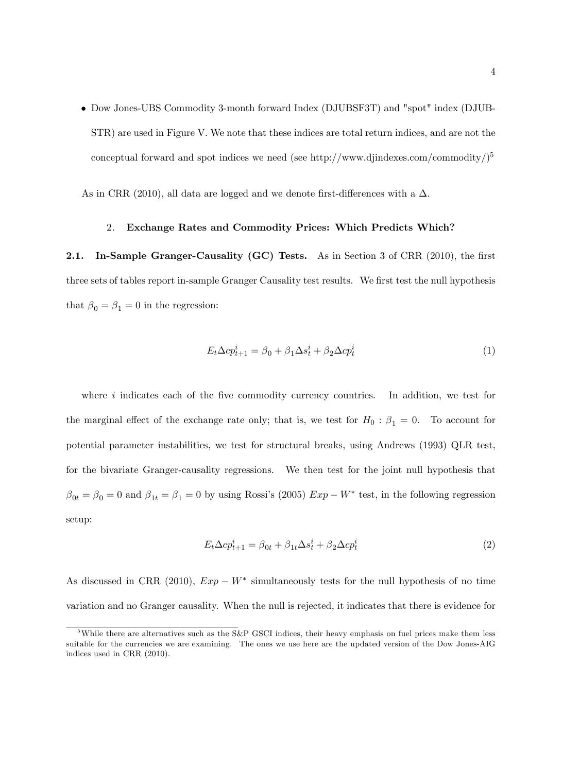Dow Jones-UBS Commodity 3-month forward Index (DJUBSF3T) and "spot" index (DJUB-STR) are used in Figure V. We note that these indices are total return indices, and are not the conceptual forward and spot indices we need (see http://www.djindexes.com/commodity/ $)^5$ 

As in CRR (2010), all data are logged and we denote first-differences with a  $\Delta$ .

#### 2. Exchange Rates and Commodity Prices: Which Predicts Which?

2.1. In-Sample Granger-Causality (GC) Tests. As in Section 3 of CRR  $(2010)$ , the first three sets of tables report in-sample Granger Causality test results. We first test the null hypothesis that  $\beta_0 = \beta_1 = 0$  in the regression:

$$
E_t \Delta c p_{t+1}^i = \beta_0 + \beta_1 \Delta s_t^i + \beta_2 \Delta c p_t^i \tag{1}
$$

where  $i$  indicates each of the five commodity currency countries. In addition, we test for the marginal effect of the exchange rate only; that is, we test for  $H_0: \beta_1 = 0$ . To account for potential parameter instabilities, we test for structural breaks, using Andrews (1993) QLR test, for the bivariate Granger-causality regressions. We then test for the joint null hypothesis that  $\beta_{0t} = \beta_0 = 0$  and  $\beta_{1t} = \beta_1 = 0$  by using Rossi's (2005)  $Exp - W^*$  test, in the following regression setup:

$$
E_t \Delta c p_{t+1}^i = \beta_{0t} + \beta_{1t} \Delta s_t^i + \beta_2 \Delta c p_t^i \tag{2}
$$

As discussed in CRR (2010),  $Exp - W^*$  simultaneously tests for the null hypothesis of no time variation and no Granger causality. When the null is rejected, it indicates that there is evidence for

<sup>&</sup>lt;sup>5</sup>While there are alternatives such as the S&P GSCI indices, their heavy emphasis on fuel prices make them less suitable for the currencies we are examining. The ones we use here are the updated version of the Dow Jones-AIG indices used in CRR (2010).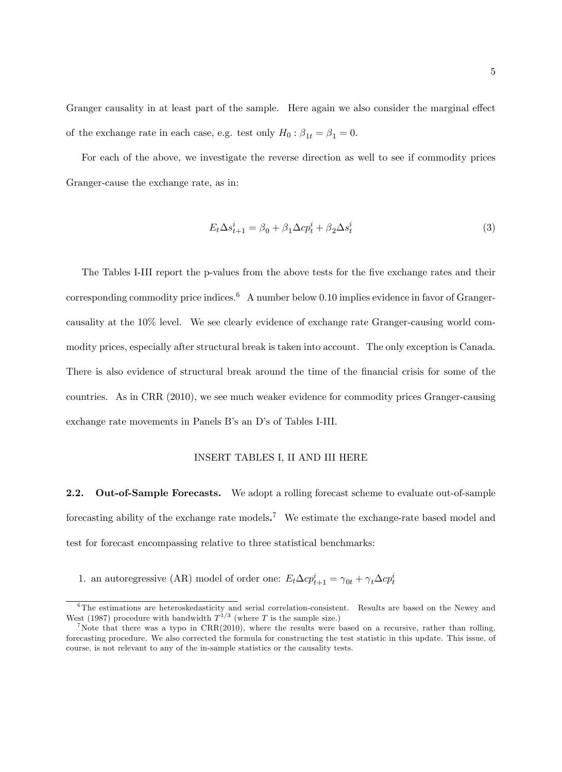Granger causality in at least part of the sample. Here again we also consider the marginal effect of the exchange rate in each case, e.g. test only  $H_0: \beta_{1t} = \beta_1 = 0$ .

For each of the above, we investigate the reverse direction as well to see if commodity prices Granger-cause the exchange rate, as in:

$$
E_t \Delta s_{t+1}^i = \beta_0 + \beta_1 \Delta c p_t^i + \beta_2 \Delta s_t^i \tag{3}
$$

The Tables I-III report the p-values from the above tests for the five exchange rates and their corresponding commodity price indices.<sup>6</sup> A number below 0.10 implies evidence in favor of Grangercausality at the 10% level. We see clearly evidence of exchange rate Granger-causing world commodity prices, especially after structural break is taken into account. The only exception is Canada. There is also evidence of structural break around the time of the financial crisis for some of the countries. As in CRR (2010), we see much weaker evidence for commodity prices Granger-causing exchange rate movements in Panels B's an D's of Tables I-III.

#### INSERT TABLES I, II AND III HERE

2.2. Out-of-Sample Forecasts. We adopt a rolling forecast scheme to evaluate out-of-sample forecasting ability of the exchange rate models.<sup>7</sup> We estimate the exchange-rate based model and test for forecast encompassing relative to three statistical benchmarks:

1. an autoregressive (AR) model of order one:  $E_t \Delta c p_{t+1}^i = \gamma_{0t} + \gamma_t \Delta c p_t^i$ 

<sup>6</sup>The estimations are heteroskedasticity and serial correlation-consistent. Results are based on the Newey and West (1987) procedure with bandwidth  $T^{1/3}$  (where T is the sample size.)

<sup>&</sup>lt;sup>7</sup>Note that there was a typo in  $CRR(2010)$ , where the results were based on a recursive, rather than rolling, forecasting procedure. We also corrected the formula for constructing the test statistic in this update. This issue, of course, is not relevant to any of the in-sample statistics or the causality tests.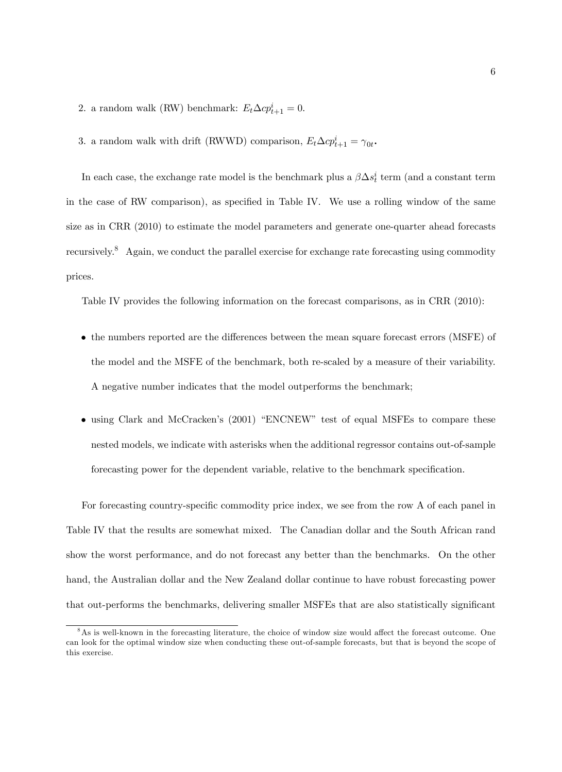- 2. a random walk (RW) benchmark:  $E_t \Delta c p_{t+1}^i = 0$ .
- 3. a random walk with drift (RWWD) comparison,  $E_t \Delta c p_{t+1}^i = \gamma_{0t}$ .

In each case, the exchange rate model is the benchmark plus a  $\beta \Delta s_t^i$  term (and a constant term in the case of RW comparison), as specified in Table IV. We use a rolling window of the same size as in CRR (2010) to estimate the model parameters and generate one-quarter ahead forecasts recursively.<sup>8</sup> Again, we conduct the parallel exercise for exchange rate forecasting using commodity prices.

Table IV provides the following information on the forecast comparisons, as in CRR (2010):

- the numbers reported are the differences between the mean square forecast errors (MSFE) of the model and the MSFE of the benchmark, both re-scaled by a measure of their variability. A negative number indicates that the model outperforms the benchmark;
- $\bullet$  using Clark and McCracken's (2001) "ENCNEW" test of equal MSFEs to compare these nested models, we indicate with asterisks when the additional regressor contains out-of-sample forecasting power for the dependent variable, relative to the benchmark specification.

For forecasting country-specific commodity price index, we see from the row A of each panel in Table IV that the results are somewhat mixed. The Canadian dollar and the South African rand show the worst performance, and do not forecast any better than the benchmarks. On the other hand, the Australian dollar and the New Zealand dollar continue to have robust forecasting power that out-performs the benchmarks, delivering smaller MSFEs that are also statistically significant

 $8$ As is well-known in the forecasting literature, the choice of window size would affect the forecast outcome. One can look for the optimal window size when conducting these out-of-sample forecasts, but that is beyond the scope of this exercise.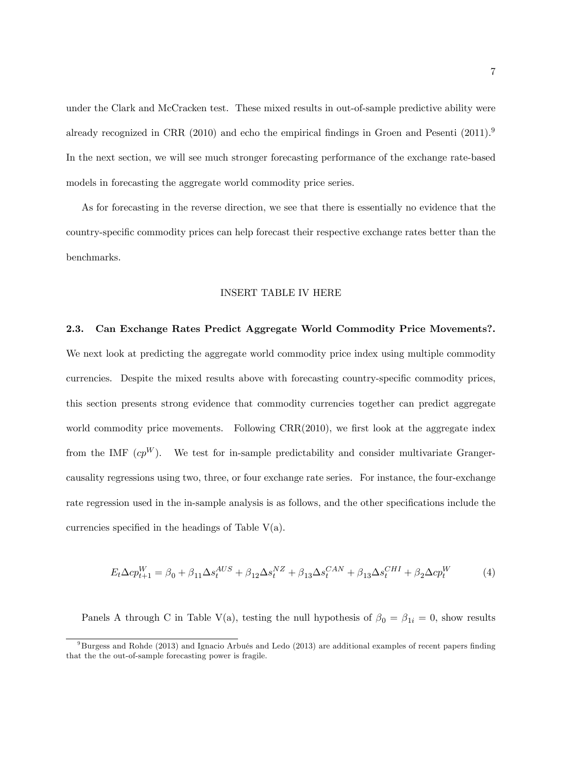under the Clark and McCracken test. These mixed results in out-of-sample predictive ability were already recognized in CRR  $(2010)$  and echo the empirical findings in Groen and Pesenti  $(2011).<sup>9</sup>$ In the next section, we will see much stronger forecasting performance of the exchange rate-based models in forecasting the aggregate world commodity price series.

As for forecasting in the reverse direction, we see that there is essentially no evidence that the country-specific commodity prices can help forecast their respective exchange rates better than the benchmarks.

#### INSERT TABLE IV HERE

#### 2.3. Can Exchange Rates Predict Aggregate World Commodity Price Movements?.

We next look at predicting the aggregate world commodity price index using multiple commodity currencies. Despite the mixed results above with forecasting country-specific commodity prices, this section presents strong evidence that commodity currencies together can predict aggregate world commodity price movements. Following  $CRR(2010)$ , we first look at the aggregate index from the IMF  $cp^W$ ). We test for in-sample predictability and consider multivariate Grangercausality regressions using two, three, or four exchange rate series. For instance, the four-exchange rate regression used in the in-sample analysis is as follows, and the other specifications include the currencies specified in the headings of Table  $V(a)$ .

$$
E_t \Delta c p_{t+1}^W = \beta_0 + \beta_{11} \Delta s_t^{AUS} + \beta_{12} \Delta s_t^{NZ} + \beta_{13} \Delta s_t^{CAN} + \beta_{13} \Delta s_t^{CHI} + \beta_2 \Delta c p_t^W \tag{4}
$$

Panels A through C in Table V(a), testing the null hypothesis of  $\beta_0 = \beta_{1i} = 0$ , show results

 $9B$ urgess and Rohde (2013) and Ignacio Arbués and Ledo (2013) are additional examples of recent papers finding that the the out-of-sample forecasting power is fragile.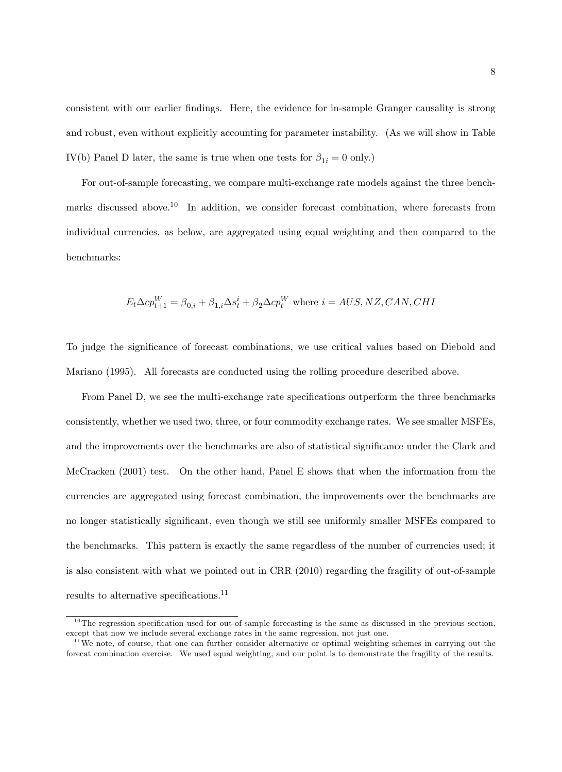consistent with our earlier Öndings. Here, the evidence for in-sample Granger causality is strong and robust, even without explicitly accounting for parameter instability. (As we will show in Table IV(b) Panel D later, the same is true when one tests for  $\beta_{1i} = 0$  only.)

For out-of-sample forecasting, we compare multi-exchange rate models against the three benchmarks discussed above.<sup>10</sup> In addition, we consider forecast combination, where forecasts from individual currencies, as below, are aggregated using equal weighting and then compared to the benchmarks:

$$
E_t \Delta cp_{t+1}^W = \beta_{0,i} + \beta_{1,i} \Delta s_t^i + \beta_2 \Delta cp_t^W
$$
 where  $i = AUS, NZ, CAN, CHI$ 

To judge the significance of forecast combinations, we use critical values based on Diebold and Mariano (1995). All forecasts are conducted using the rolling procedure described above.

From Panel D, we see the multi-exchange rate specifications outperform the three benchmarks consistently, whether we used two, three, or four commodity exchange rates. We see smaller MSFEs, and the improvements over the benchmarks are also of statistical significance under the Clark and McCracken (2001) test. On the other hand, Panel E shows that when the information from the currencies are aggregated using forecast combination, the improvements over the benchmarks are no longer statistically significant, even though we still see uniformly smaller MSFEs compared to the benchmarks. This pattern is exactly the same regardless of the number of currencies used; it is also consistent with what we pointed out in CRR (2010) regarding the fragility of out-of-sample results to alternative specifications.<sup>11</sup>

 $10$ The regression specification used for out-of-sample forecasting is the same as discussed in the previous section, except that now we include several exchange rates in the same regression, not just one.

 $11$ We note, of course, that one can further consider alternative or optimal weighting schemes in carrying out the forecat combination exercise. We used equal weighting, and our point is to demonstrate the fragility of the results.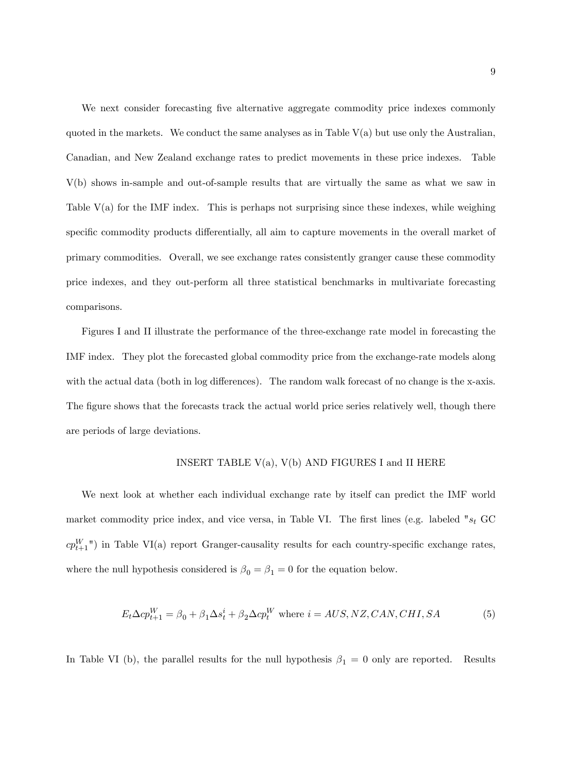We next consider forecasting five alternative aggregate commodity price indexes commonly quoted in the markets. We conduct the same analyses as in Table  $V(a)$  but use only the Australian, Canadian, and New Zealand exchange rates to predict movements in these price indexes. Table V(b) shows in-sample and out-of-sample results that are virtually the same as what we saw in Table V(a) for the IMF index. This is perhaps not surprising since these indexes, while weighing specific commodity products differentially, all aim to capture movements in the overall market of primary commodities. Overall, we see exchange rates consistently granger cause these commodity price indexes, and they out-perform all three statistical benchmarks in multivariate forecasting comparisons.

Figures I and II illustrate the performance of the three-exchange rate model in forecasting the IMF index. They plot the forecasted global commodity price from the exchange-rate models along with the actual data (both in log differences). The random walk forecast of no change is the x-axis. The figure shows that the forecasts track the actual world price series relatively well, though there are periods of large deviations.

#### INSERT TABLE  $V(a)$ ,  $V(b)$  AND FIGURES I and II HERE

We next look at whether each individual exchange rate by itself can predict the IMF world market commodity price index, and vice versa, in Table VI. The first lines (e.g. labeled " $s_t$  GC  $cp_{t+1}^W$ ) in Table VI(a) report Granger-causality results for each country-specific exchange rates, where the null hypothesis considered is  $\beta_0 = \beta_1 = 0$  for the equation below.

$$
E_t \Delta cp_{t+1}^W = \beta_0 + \beta_1 \Delta s_t^i + \beta_2 \Delta cp_t^W \text{ where } i = AUS, NZ, CAN, CHI, SA
$$
 (5)

In Table VI (b), the parallel results for the null hypothesis  $\beta_1 = 0$  only are reported. Results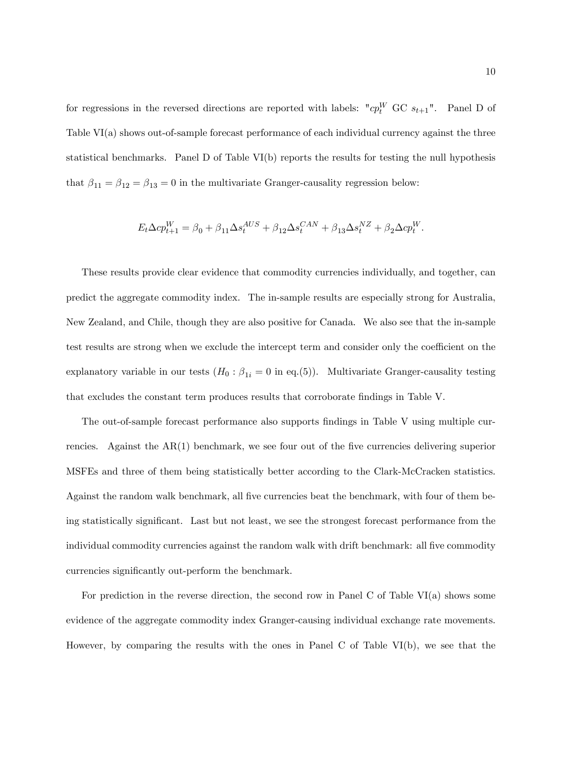for regressions in the reversed directions are reported with labels: " $cp_t^W$  GC  $s_{t+1}$ ". Panel D of Table VI(a) shows out-of-sample forecast performance of each individual currency against the three statistical benchmarks. Panel D of Table VI(b) reports the results for testing the null hypothesis that  $\beta_{11} = \beta_{12} = \beta_{13} = 0$  in the multivariate Granger-causality regression below:

$$
E_t \Delta c p_{t+1}^W = \beta_0 + \beta_{11} \Delta s_t^{AUS} + \beta_{12} \Delta s_t^{CAN} + \beta_{13} \Delta s_t^{NZ} + \beta_2 \Delta c p_t^W.
$$

These results provide clear evidence that commodity currencies individually, and together, can predict the aggregate commodity index. The in-sample results are especially strong for Australia, New Zealand, and Chile, though they are also positive for Canada. We also see that the in-sample test results are strong when we exclude the intercept term and consider only the coefficient on the explanatory variable in our tests  $(H_0: \beta_{1i} = 0$  in eq.(5)). Multivariate Granger-causality testing that excludes the constant term produces results that corroborate findings in Table V.

The out-of-sample forecast performance also supports findings in Table V using multiple currencies. Against the  $AR(1)$  benchmark, we see four out of the five currencies delivering superior MSFEs and three of them being statistically better according to the Clark-McCracken statistics. Against the random walk benchmark, all five currencies beat the benchmark, with four of them being statistically significant. Last but not least, we see the strongest forecast performance from the individual commodity currencies against the random walk with drift benchmark: all five commodity currencies significantly out-perform the benchmark.

For prediction in the reverse direction, the second row in Panel C of Table VI(a) shows some evidence of the aggregate commodity index Granger-causing individual exchange rate movements. However, by comparing the results with the ones in Panel C of Table VI(b), we see that the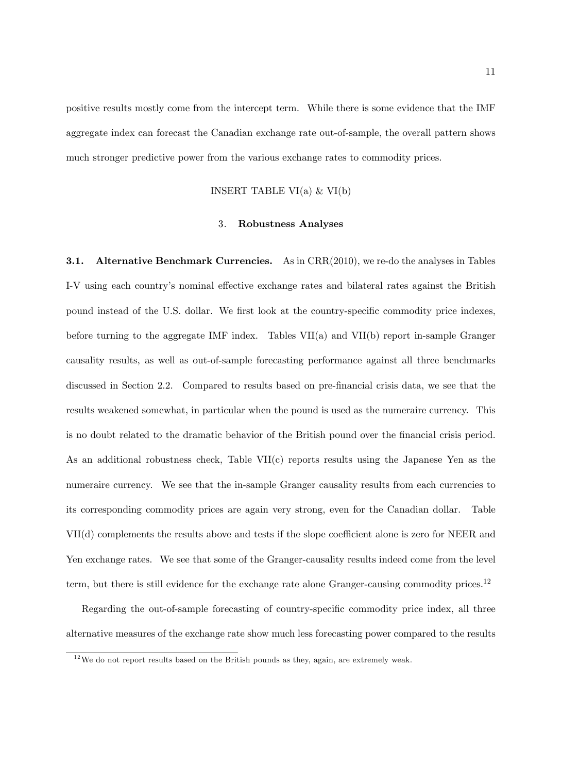positive results mostly come from the intercept term. While there is some evidence that the IMF aggregate index can forecast the Canadian exchange rate out-of-sample, the overall pattern shows much stronger predictive power from the various exchange rates to commodity prices.

#### INSERT TABLE VI(a)  $&$  VI(b)

#### 3. Robustness Analyses

**3.1.** Alternative Benchmark Currencies. As in CRR(2010), we re-do the analyses in Tables I-V using each country's nominal effective exchange rates and bilateral rates against the British pound instead of the U.S. dollar. We first look at the country-specific commodity price indexes, before turning to the aggregate IMF index. Tables  $VII(a)$  and  $VII(b)$  report in-sample Granger causality results, as well as out-of-sample forecasting performance against all three benchmarks discussed in Section 2.2. Compared to results based on pre-financial crisis data, we see that the results weakened somewhat, in particular when the pound is used as the numeraire currency. This is no doubt related to the dramatic behavior of the British pound over the financial crisis period. As an additional robustness check, Table VII(c) reports results using the Japanese Yen as the numeraire currency. We see that the in-sample Granger causality results from each currencies to its corresponding commodity prices are again very strong, even for the Canadian dollar. Table  $VII(d)$  complements the results above and tests if the slope coefficient alone is zero for NEER and Yen exchange rates. We see that some of the Granger-causality results indeed come from the level term, but there is still evidence for the exchange rate alone Granger-causing commodity prices.<sup>12</sup>

Regarding the out-of-sample forecasting of country-specific commodity price index, all three alternative measures of the exchange rate show much less forecasting power compared to the results

 $1<sup>2</sup>$  We do not report results based on the British pounds as they, again, are extremely weak.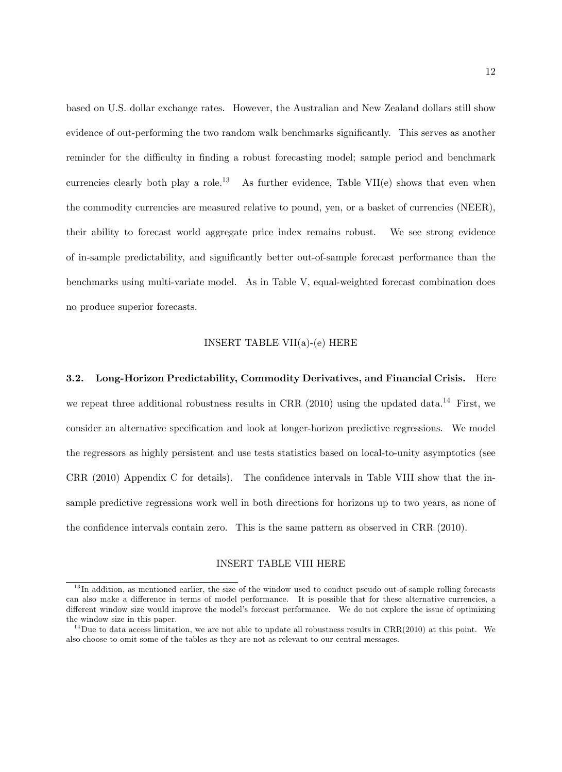based on U.S. dollar exchange rates. However, the Australian and New Zealand dollars still show evidence of out-performing the two random walk benchmarks significantly. This serves as another reminder for the difficulty in finding a robust forecasting model; sample period and benchmark currencies clearly both play a role.<sup>13</sup> As further evidence. Table VII(e) shows that even when the commodity currencies are measured relative to pound, yen, or a basket of currencies (NEER), their ability to forecast world aggregate price index remains robust. We see strong evidence of in-sample predictability, and significantly better out-of-sample forecast performance than the benchmarks using multi-variate model. As in Table V, equal-weighted forecast combination does no produce superior forecasts.

#### INSERT TABLE VII(a)-(e) HERE

3.2. Long-Horizon Predictability, Commodity Derivatives, and Financial Crisis. Here we repeat three additional robustness results in CRR  $(2010)$  using the updated data.<sup>14</sup> First, we consider an alternative specification and look at longer-horizon predictive regressions. We model the regressors as highly persistent and use tests statistics based on local-to-unity asymptotics (see CRR  $(2010)$  Appendix C for details). The confidence intervals in Table VIII show that the insample predictive regressions work well in both directions for horizons up to two years, as none of the confidence intervals contain zero. This is the same pattern as observed in CRR (2010).

#### INSERT TABLE VIII HERE

 $13$  In addition, as mentioned earlier, the size of the window used to conduct pseudo out-of-sample rolling forecasts can also make a difference in terms of model performance. It is possible that for these alternative currencies, a different window size would improve the model's forecast performance. We do not explore the issue of optimizing the window size in this paper.

 $14$ Due to data access limitation, we are not able to update all robustness results in CRR(2010) at this point. We also choose to omit some of the tables as they are not as relevant to our central messages.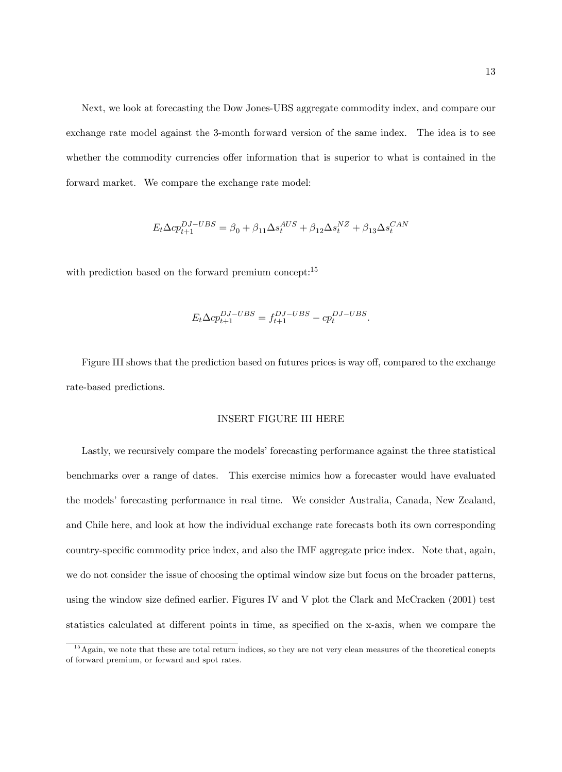Next, we look at forecasting the Dow Jones-UBS aggregate commodity index, and compare our exchange rate model against the 3-month forward version of the same index. The idea is to see whether the commodity currencies offer information that is superior to what is contained in the forward market. We compare the exchange rate model:

$$
E_t\Delta cp_{t+1}^{DJ-UBS} = \beta_0 + \beta_{11}\Delta s_t^{AUS} + \beta_{12}\Delta s_t^{NZ} + \beta_{13}\Delta s_t^{CAN}
$$

with prediction based on the forward premium concept:<sup>15</sup>

$$
E_t \Delta c p_{t+1}^{DJ-UBS} = f_{t+1}^{DJ-UBS} - c p_t^{DJ-UBS}.
$$

Figure III shows that the prediction based on futures prices is way off, compared to the exchange rate-based predictions.

#### INSERT FIGURE III HERE

Lastly, we recursively compare the models' forecasting performance against the three statistical benchmarks over a range of dates. This exercise mimics how a forecaster would have evaluated the modelsí forecasting performance in real time. We consider Australia, Canada, New Zealand, and Chile here, and look at how the individual exchange rate forecasts both its own corresponding country-specific commodity price index, and also the IMF aggregate price index. Note that, again, we do not consider the issue of choosing the optimal window size but focus on the broader patterns, using the window size defined earlier. Figures IV and V plot the Clark and McCracken  $(2001)$  test statistics calculated at different points in time, as specified on the x-axis, when we compare the

<sup>&</sup>lt;sup>15</sup> Again, we note that these are total return indices, so they are not very clean measures of the theoretical conepts of forward premium, or forward and spot rates.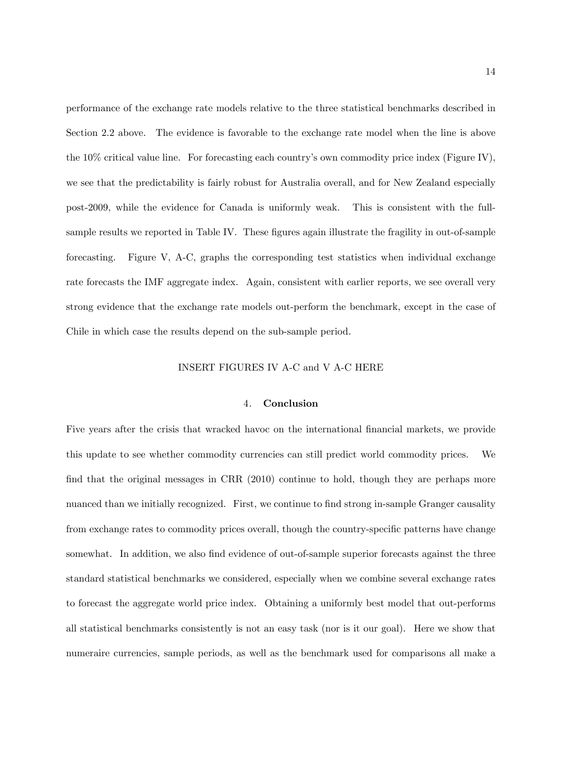performance of the exchange rate models relative to the three statistical benchmarks described in Section 2.2 above. The evidence is favorable to the exchange rate model when the line is above the  $10\%$  critical value line. For forecasting each country's own commodity price index (Figure IV), we see that the predictability is fairly robust for Australia overall, and for New Zealand especially post-2009, while the evidence for Canada is uniformly weak. This is consistent with the fullsample results we reported in Table IV. These figures again illustrate the fragility in out-of-sample forecasting. Figure V, A-C, graphs the corresponding test statistics when individual exchange rate forecasts the IMF aggregate index. Again, consistent with earlier reports, we see overall very strong evidence that the exchange rate models out-perform the benchmark, except in the case of Chile in which case the results depend on the sub-sample period.

#### INSERT FIGURES IV A-C and V A-C HERE

#### 4. Conclusion

Five years after the crisis that wracked havoc on the international financial markets, we provide this update to see whether commodity currencies can still predict world commodity prices. We find that the original messages in CRR (2010) continue to hold, though they are perhaps more nuanced than we initially recognized. First, we continue to find strong in-sample Granger causality from exchange rates to commodity prices overall, though the country-specific patterns have change somewhat. In addition, we also find evidence of out-of-sample superior forecasts against the three standard statistical benchmarks we considered, especially when we combine several exchange rates to forecast the aggregate world price index. Obtaining a uniformly best model that out-performs all statistical benchmarks consistently is not an easy task (nor is it our goal). Here we show that numeraire currencies, sample periods, as well as the benchmark used for comparisons all make a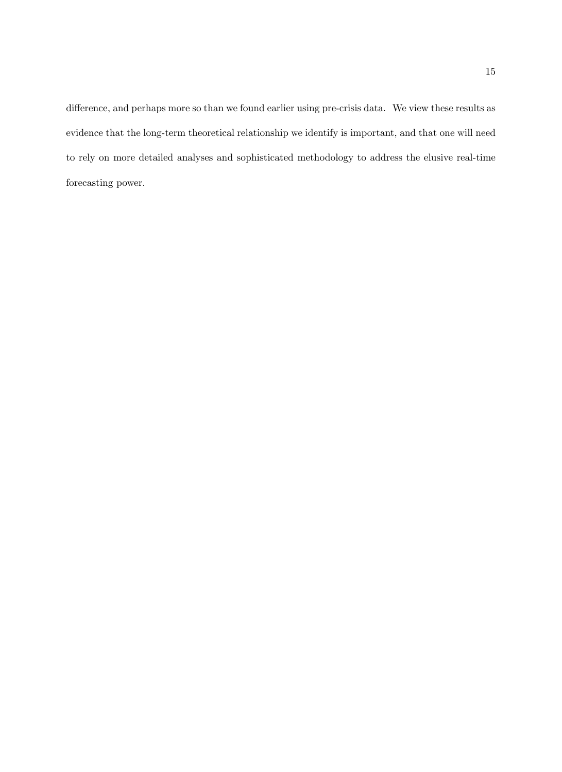difference, and perhaps more so than we found earlier using pre-crisis data. We view these results as evidence that the long-term theoretical relationship we identify is important, and that one will need to rely on more detailed analyses and sophisticated methodology to address the elusive real-time forecasting power.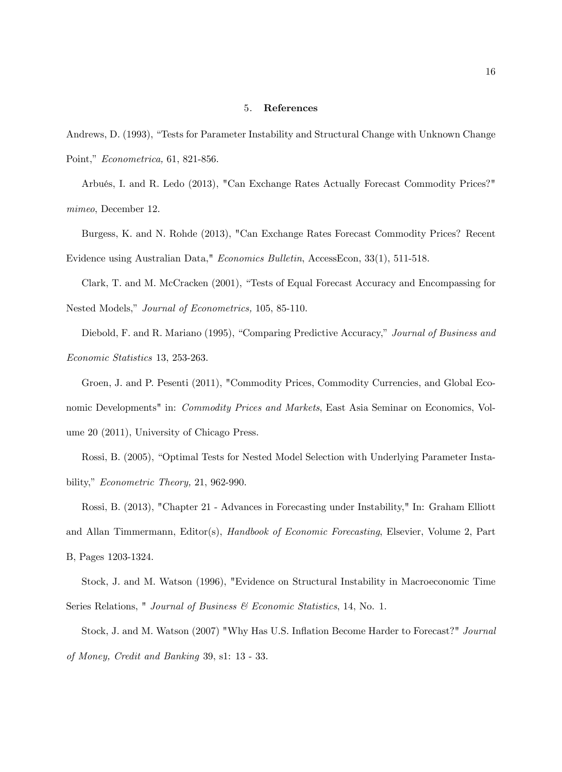#### 5. References

Andrews, D. (1993), "Tests for Parameter Instability and Structural Change with Unknown Change Point," Econometrica, 61, 821-856.

ArbuÈs, I. and R. Ledo (2013), "Can Exchange Rates Actually Forecast Commodity Prices?" mimeo, December 12.

Burgess, K. and N. Rohde (2013), "Can Exchange Rates Forecast Commodity Prices? Recent Evidence using Australian Data," Economics Bulletin, AccessEcon, 33(1), 511-518.

Clark, T. and M. McCracken (2001), "Tests of Equal Forecast Accuracy and Encompassing for Nested Models," Journal of Econometrics, 105, 85-110.

Diebold, F. and R. Mariano (1995), "Comparing Predictive Accuracy," Journal of Business and Economic Statistics 13, 253-263.

Groen, J. and P. Pesenti (2011), "Commodity Prices, Commodity Currencies, and Global Economic Developments" in: Commodity Prices and Markets, East Asia Seminar on Economics, Volume 20 (2011), University of Chicago Press.

Rossi, B. (2005), "Optimal Tests for Nested Model Selection with Underlying Parameter Instability,"  $Econometric Theory, 21, 962-990.$ 

Rossi, B. (2013), "Chapter 21 - Advances in Forecasting under Instability," In: Graham Elliott and Allan Timmermann, Editor(s), Handbook of Economic Forecasting, Elsevier, Volume 2, Part B, Pages 1203-1324.

Stock, J. and M. Watson (1996), "Evidence on Structural Instability in Macroeconomic Time Series Relations, " Journal of Business & Economic Statistics, 14, No. 1.

Stock, J. and M. Watson (2007) "Why Has U.S. Inflation Become Harder to Forecast?" Journal of Money, Credit and Banking 39, s1: 13 - 33.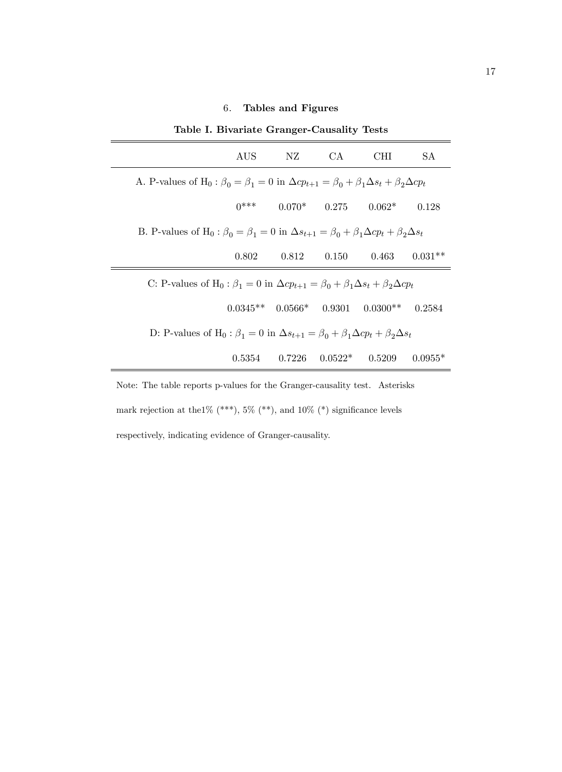# 6. Tables and Figures

|                                                                                                                                   | Lable 1. Divariate Granger-Causality Tests                                                                                        |                   |                         |                                          |           |  |  |
|-----------------------------------------------------------------------------------------------------------------------------------|-----------------------------------------------------------------------------------------------------------------------------------|-------------------|-------------------------|------------------------------------------|-----------|--|--|
|                                                                                                                                   | AUS.                                                                                                                              | NZ                | CA.                     | CHI.                                     | SA.       |  |  |
| A. P-values of H <sub>0</sub> : $\beta_0 = \beta_1 = 0$ in $\Delta cp_{t+1} = \beta_0 + \beta_1 \Delta s_t + \beta_2 \Delta cp_t$ |                                                                                                                                   |                   |                         |                                          |           |  |  |
|                                                                                                                                   | $0***$                                                                                                                            |                   | $0.070*$ 0.275          | $0.062*$                                 | 0.128     |  |  |
|                                                                                                                                   | B. P-values of H <sub>0</sub> : $\beta_0 = \beta_1 = 0$ in $\Delta s_{t+1} = \beta_0 + \beta_1 \Delta c p_t + \beta_2 \Delta s_t$ |                   |                         |                                          |           |  |  |
|                                                                                                                                   | 0.802                                                                                                                             |                   | $0.812$ $0.150$ $0.463$ |                                          | $0.031**$ |  |  |
|                                                                                                                                   | C: P-values of H <sub>0</sub> : $\beta_1 = 0$ in $\Delta cp_{t+1} = \beta_0 + \beta_1 \Delta s_t + \beta_2 \Delta cp_t$           |                   |                         |                                          |           |  |  |
|                                                                                                                                   |                                                                                                                                   |                   |                         | $0.0345**$ $0.0566*$ $0.9301$ $0.0300**$ | 0.2584    |  |  |
| D: P-values of H <sub>0</sub> : $\beta_1 = 0$ in $\Delta s_{t+1} = \beta_0 + \beta_1 \Delta c p_t + \beta_2 \Delta s_t$           |                                                                                                                                   |                   |                         |                                          |           |  |  |
|                                                                                                                                   |                                                                                                                                   | $0.5354$ $0.7226$ | $0.0522*$               | 0.5209                                   | $0.0955*$ |  |  |

Table I. Bivariate Granger-Causality Tests

Note: The table reports p-values for the Granger-causality test. Asterisks mark rejection at the<br>1% (\*\*\*), 5% (\*\*), and 10% (\*) significance levels respectively, indicating evidence of Granger-causality.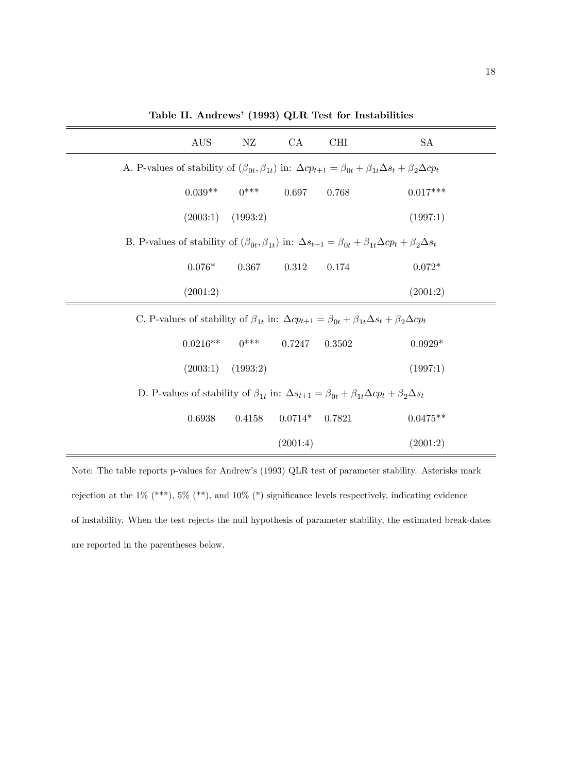|                                                                                                                        | <b>AUS</b>                                                                                                                           | NZ       | CA        | <b>CHI</b> | SA                                                                                                                                    |  |
|------------------------------------------------------------------------------------------------------------------------|--------------------------------------------------------------------------------------------------------------------------------------|----------|-----------|------------|---------------------------------------------------------------------------------------------------------------------------------------|--|
|                                                                                                                        |                                                                                                                                      |          |           |            | A. P-values of stability of $(\beta_{0t}, \beta_{1t})$ in: $\Delta cp_{t+1} = \beta_{0t} + \beta_{1t}\Delta s_t + \beta_2\Delta cp_t$ |  |
|                                                                                                                        | $0.039**$                                                                                                                            | $0***$   | 0.697     | 0.768      | $0.017***$                                                                                                                            |  |
|                                                                                                                        | (2003:1)                                                                                                                             | (1993:2) |           |            | (1997:1)                                                                                                                              |  |
|                                                                                                                        | B. P-values of stability of $(\beta_{0t}, \beta_{1t})$ in: $\Delta s_{t+1} = \beta_{0t} + \beta_{1t}\Delta cp_t + \beta_2\Delta s_t$ |          |           |            |                                                                                                                                       |  |
|                                                                                                                        | $0.076*$                                                                                                                             | 0.367    | 0.312     | 0.174      | $0.072*$                                                                                                                              |  |
|                                                                                                                        | (2001:2)                                                                                                                             |          |           |            | (2001:2)                                                                                                                              |  |
|                                                                                                                        | C. P-values of stability of $\beta_{1t}$ in: $\Delta cp_{t+1} = \beta_{0t} + \beta_{1t}\Delta s_t + \beta_2\Delta cp_t$              |          |           |            |                                                                                                                                       |  |
|                                                                                                                        | $0.0216**$                                                                                                                           | $0***$   | 0.7247    | 0.3502     | $0.0929*$                                                                                                                             |  |
|                                                                                                                        | (2003:1)                                                                                                                             | (1993:2) |           |            | (1997:1)                                                                                                                              |  |
| D. P-values of stability of $\beta_{1t}$ in: $\Delta s_{t+1} = \beta_{0t} + \beta_{1t}\Delta cp_t + \beta_2\Delta s_t$ |                                                                                                                                      |          |           |            |                                                                                                                                       |  |
|                                                                                                                        | 0.6938                                                                                                                               | 0.4158   | $0.0714*$ | 0.7821     | $0.0475**$                                                                                                                            |  |
|                                                                                                                        |                                                                                                                                      |          | (2001:4)  |            | (2001:2)                                                                                                                              |  |

Table II. Andrews' (1993) QLR Test for Instabilities

Note: The table reports p-values for Andrew's (1993) QLR test of parameter stability. Asterisks mark rejection at the 1% (\*\*\*), 5% (\*\*), and 10% (\*) significance levels respectively, indicating evidence of instability. When the test rejects the null hypothesis of parameter stability, the estimated break-dates are reported in the parentheses below.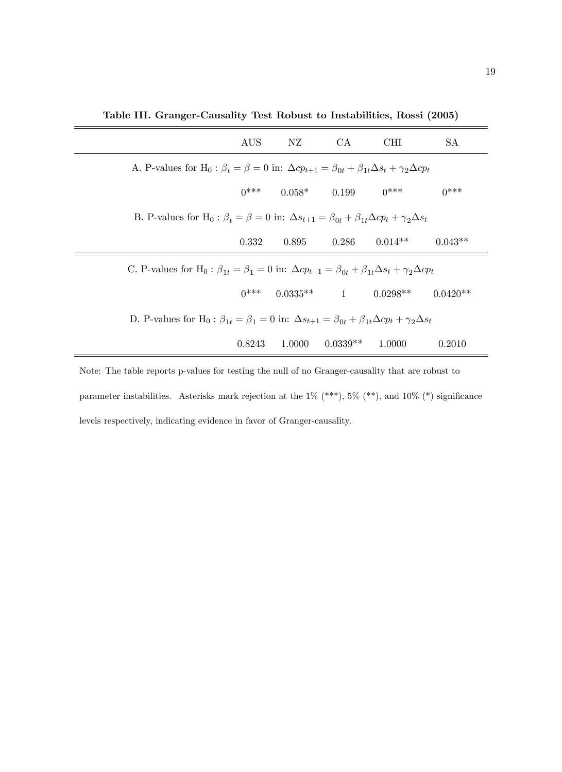|                                                                                                                                             | AUS -  | NZ                            | CA                  | CHI                                     | SA.        |  |  |
|---------------------------------------------------------------------------------------------------------------------------------------------|--------|-------------------------------|---------------------|-----------------------------------------|------------|--|--|
| A. P-values for H <sub>0</sub> : $\beta_t = \beta = 0$ in: $\Delta cp_{t+1} = \beta_{0t} + \beta_{1t}\Delta s_t + \gamma_2 \Delta cp_t$     |        |                               |                     |                                         |            |  |  |
|                                                                                                                                             |        | $0^{***}$ $0.058^{*}$ $0.199$ |                     | $0***$                                  | $0***$     |  |  |
| B. P-values for H <sub>0</sub> : $\beta_t = \beta = 0$ in: $\Delta s_{t+1} = \beta_{0t} + \beta_{1t}\Delta cp_t + \gamma_2\Delta s_t$       |        |                               |                     |                                         |            |  |  |
|                                                                                                                                             | 0.332  | 0.895                         |                     | $0.286$ $0.014**$                       | $0.043**$  |  |  |
| C. P-values for H <sub>0</sub> : $\beta_{1t} = \beta_1 = 0$ in: $\Delta cp_{t+1} = \beta_{0t} + \beta_{1t}\Delta s_t + \gamma_2\Delta cp_t$ |        |                               |                     |                                         |            |  |  |
|                                                                                                                                             |        |                               |                     | $0^{***}$ $0.0335^{**}$ 1 $0.0298^{**}$ | $0.0420**$ |  |  |
| D. P-values for H <sub>0</sub> : $\beta_{1t} = \beta_1 = 0$ in: $\Delta s_{t+1} = \beta_{0t} + \beta_{1t}\Delta cp_t + \gamma_2\Delta s_t$  |        |                               |                     |                                         |            |  |  |
|                                                                                                                                             | 0.8243 |                               | $1.0000$ $0.0339**$ | 1.0000                                  | 0.2010     |  |  |

Table III. Granger-Causality Test Robust to Instabilities, Rossi (2005)

Note: The table reports p-values for testing the null of no Granger-causality that are robust to parameter instabilities. Asterisks mark rejection at the  $1\%$  (\*\*\*),  $5\%$  (\*\*), and  $10\%$  (\*) significance levels respectively, indicating evidence in favor of Granger-causality.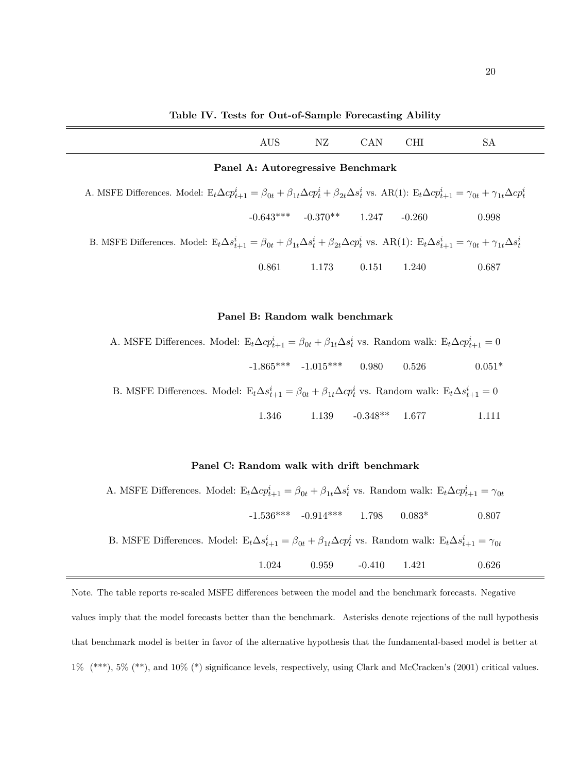Table IV. Tests for Out-of-Sample Forecasting Ability

|                                                                                                                                                                                         | AUS | NZ. | CAN. | CHI | SА |  |  |
|-----------------------------------------------------------------------------------------------------------------------------------------------------------------------------------------|-----|-----|------|-----|----|--|--|
| Panel A: Autoregressive Benchmark                                                                                                                                                       |     |     |      |     |    |  |  |
| A MSEE Differences Model: $F \cdot \Delta c n^i = \beta_+ + \beta_+ \Delta c n^i + \beta_+ \Delta s^i$ vs. $\Delta R(1) \cdot F \cdot \Delta c n^i = -\gamma_+ + \gamma_- \Delta c n^i$ |     |     |      |     |    |  |  |

A. MSFE Differences. Model: 
$$
E_t \Delta c p_{t+1}^i = \beta_{0t} + \beta_{1t} \Delta c p_t^i + \beta_{2t} \Delta s_t^i
$$
 vs. AR(1): 
$$
E_t \Delta c p_{t+1}^i = \gamma_{0t} + \gamma_{1t} \Delta c p_t^i
$$

$$
-0.643^{***} \qquad -0.370^{**} \qquad 1.247 \qquad -0.260 \qquad 0.998
$$
B. MSFE Differences. Model: 
$$
E_t \Delta s_{t+1}^i = \beta_{0t} + \beta_{1t} \Delta s_t^i + \beta_{2t} \Delta c p_t^i
$$
 vs. AR(1): 
$$
E_t \Delta s_{t+1}^i = \gamma_{0t} + \gamma_{1t} \Delta s_t^i
$$

0.861 1.173 0.151 1.240 0.687

# Panel B: Random walk benchmark

A. MSFE Differences. Model:  $E_t \Delta c p_{t+1}^i = \beta_{0t} + \beta_{1t} \Delta s_t^i$  vs. Random walk:  $E_t \Delta c p_{t+1}^i = 0$  $-1.865***$   $-1.015***$  0.980 0.526 0.051\*

B. MSFE Differences. Model: 
$$
E_t \Delta s_{t+1}^i = \beta_{0t} + \beta_{1t} \Delta c p_t^i
$$
 vs. Random walk: 
$$
E_t \Delta s_{t+1}^i = 0
$$

$$
1.346 \qquad 1.139 \qquad -0.348^{**} \qquad 1.677 \qquad 1.111
$$

# Panel C: Random walk with drift benchmark

| A. MSFE Differences. Model: $E_t \Delta c p_{t+1}^i = \beta_{0t} + \beta_{1t} \Delta s_t^i$ vs. Random walk: $E_t \Delta c p_{t+1}^i = \gamma_{0t}$ |       |                                          |  |       |
|-----------------------------------------------------------------------------------------------------------------------------------------------------|-------|------------------------------------------|--|-------|
|                                                                                                                                                     |       | $-1.536***$ $-0.914***$ $1.798$ $0.083*$ |  | 0.807 |
| B. MSFE Differences. Model: $E_t \Delta s_{t+1}^i = \beta_{0t} + \beta_{1t} \Delta c p_t^i$ vs. Random walk: $E_t \Delta s_{t+1}^i = \gamma_{0t}$   |       |                                          |  |       |
|                                                                                                                                                     | 1.024 | $0.959$ $-0.410$ $1.421$                 |  | 0.626 |

Note. The table reports re-scaled MSFE differences between the model and the benchmark forecasts. Negative values imply that the model forecasts better than the benchmark. Asterisks denote rejections of the null hypothesis that benchmark model is better in favor of the alternative hypothesis that the fundamental-based model is better at  $1\%$  (\*\*\*),  $5\%$  (\*\*), and  $10\%$  (\*) significance levels, respectively, using Clark and McCracken's (2001) critical values.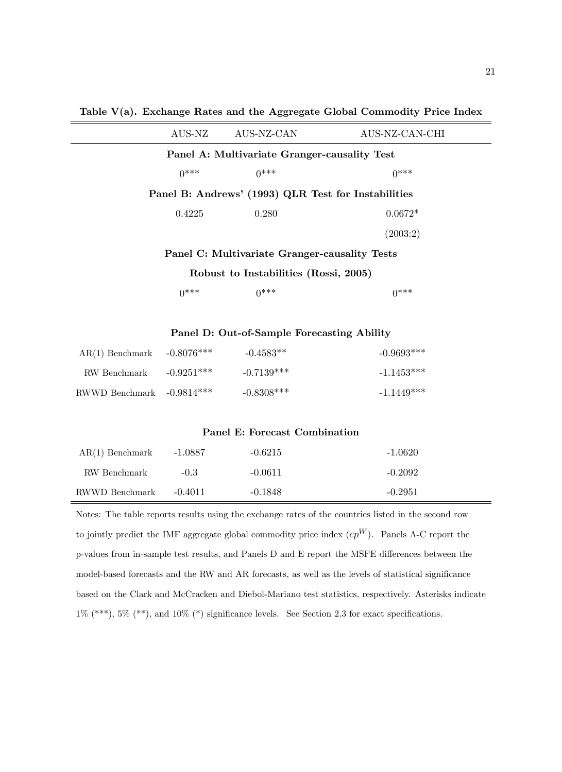Table V(a). Exchange Rates and the Aggregate Global Commodity Price Index

|                                                     | AUS-NZ | AUS-NZ-CAN | AUS-NZ-CAN-CHI |  |  |  |
|-----------------------------------------------------|--------|------------|----------------|--|--|--|
| Panel A: Multivariate Granger-causality Test        |        |            |                |  |  |  |
|                                                     | $0***$ | $0***$     | $0***$         |  |  |  |
| Panel B: Andrews' (1993) QLR Test for Instabilities |        |            |                |  |  |  |
|                                                     | 0.4225 | 0.280      | $0.0672*$      |  |  |  |
|                                                     |        |            | (2003:2)       |  |  |  |
| Panel C: Multivariate Granger-causality Tests       |        |            |                |  |  |  |
| Robust to Instabilities (Rossi, 2005)               |        |            |                |  |  |  |

 $0^{***}$   $0^{***}$   $0^{***}$ 

Panel D: Out-of-Sample Forecasting Ability

| $AR(1)$ Benchmark $-0.8076***$ |              | $-0.4583**$  | $-0.9693***$ |
|--------------------------------|--------------|--------------|--------------|
| RW Benchmark                   | $-0.9251***$ | $-0.7139***$ | $-1.1453***$ |
| RWWD Benchmark $-0.9814***$    |              | $-0.8308***$ | $-1.1449***$ |

#### Panel E: Forecast Combination

| $AR(1)$ Benchmark | $-1.0887$ | $-0.6215$ | $-1.0620$ |
|-------------------|-----------|-----------|-----------|
| RW Benchmark      | $-0.3$    | $-0.0611$ | $-0.2092$ |
| RWWD Benchmark    | $-0.4011$ | $-0.1848$ | $-0.2951$ |

Notes: The table reports results using the exchange rates of the countries listed in the second row to jointly predict the IMF aggregate global commodity price index  $cp^W$ ). Panels A-C report the p-values from in-sample test results, and Panels D and E report the MSFE differences between the model-based forecasts and the RW and AR forecasts, as well as the levels of statistical significance based on the Clark and McCracken and Diebol-Mariano test statistics, respectively. Asterisks indicate  $1\%$  (\*\*\*),  $5\%$  (\*\*), and  $10\%$  (\*) significance levels. See Section 2.3 for exact specifications.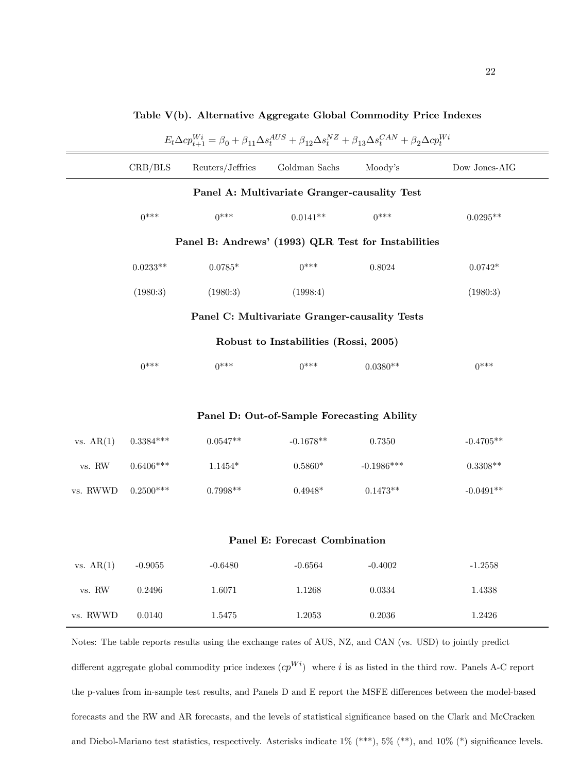| $E_t \Delta c p_{t+1}^{Wi} = \beta_0 + \beta_{11} \Delta s_t^{AUS} + \beta_{12} \Delta s_t^{NZ} + \beta_{13} \Delta s_t^{CAN} + \beta_2 \Delta c p_t^{Wi}$ |                                               |                  |                                            |              |               |  |  |  |  |
|------------------------------------------------------------------------------------------------------------------------------------------------------------|-----------------------------------------------|------------------|--------------------------------------------|--------------|---------------|--|--|--|--|
|                                                                                                                                                            | CRB/BLS                                       | Reuters/Jeffries | Goldman $\operatorname{Sachs}$             | Moody's      | Dow Jones-AIG |  |  |  |  |
|                                                                                                                                                            | Panel A: Multivariate Granger-causality Test  |                  |                                            |              |               |  |  |  |  |
|                                                                                                                                                            | $0***$                                        | $0***$           | $0.0141**$                                 | $0***$       | $0.0295**$    |  |  |  |  |
| Panel B: Andrews' (1993) QLR Test for Instabilities                                                                                                        |                                               |                  |                                            |              |               |  |  |  |  |
|                                                                                                                                                            | $0.0233**$                                    | $0.0785^{\ast}$  | $0***$                                     | 0.8024       | $0.0742*$     |  |  |  |  |
|                                                                                                                                                            | (1980:3)                                      | (1980:3)         | (1998:4)                                   |              | (1980:3)      |  |  |  |  |
|                                                                                                                                                            | Panel C: Multivariate Granger-causality Tests |                  |                                            |              |               |  |  |  |  |
| Robust to Instabilities (Rossi, 2005)                                                                                                                      |                                               |                  |                                            |              |               |  |  |  |  |
|                                                                                                                                                            | $0***$                                        | $0***$           | $0***$                                     | $0.0380**$   | $0***$        |  |  |  |  |
|                                                                                                                                                            |                                               |                  |                                            |              |               |  |  |  |  |
|                                                                                                                                                            |                                               |                  | Panel D: Out-of-Sample Forecasting Ability |              |               |  |  |  |  |
| vs. AR(1)                                                                                                                                                  | $0.3384***$                                   | $0.0547**$       | $-0.1678**$                                | 0.7350       | $-0.4705**$   |  |  |  |  |
| ${\rm v}\rm{s}.$ RW                                                                                                                                        | $0.6406***$                                   | $1.1454*$        | $0.5860*$                                  | $-0.1986***$ | $0.3308**$    |  |  |  |  |
| vs. RWWD                                                                                                                                                   | $0.2500***$                                   | $0.7998**$       | $0.4948*$                                  | $0.1473**$   | $-0.0491**$   |  |  |  |  |
|                                                                                                                                                            |                                               |                  |                                            |              |               |  |  |  |  |
| Panel E: Forecast Combination                                                                                                                              |                                               |                  |                                            |              |               |  |  |  |  |
| vs. AR(1)                                                                                                                                                  | $-0.9055$                                     | $-0.6480$        | $-0.6564$                                  | $-0.4002$    | $-1.2558$     |  |  |  |  |
| $\,\rm vs. \,\, RW$                                                                                                                                        | 0.2496                                        | 1.6071           | 1.1268                                     | 0.0334       | 1.4338        |  |  |  |  |
| vs. RWWD                                                                                                                                                   | 0.0140                                        | 1.5475           | 1.2053                                     | 0.2036       | 1.2426        |  |  |  |  |
|                                                                                                                                                            |                                               |                  |                                            |              |               |  |  |  |  |

# Table V(b). Alternative Aggregate Global Commodity Price Indexes

different aggregate global commodity price indexes  $(cp^{Wi})$  where i is as listed in the third row. Panels A-C report the p-values from in-sample test results, and Panels D and E report the MSFE differences between the model-based forecasts and the RW and AR forecasts, and the levels of statistical significance based on the Clark and McCracken and Diebol-Mariano test statistics, respectively. Asterisks indicate  $1\%$  (\*\*\*),  $5\%$  (\*\*), and  $10\%$  (\*) significance levels.

Notes: The table reports results using the exchange rates of AUS, NZ, and CAN (vs. USD) to jointly predict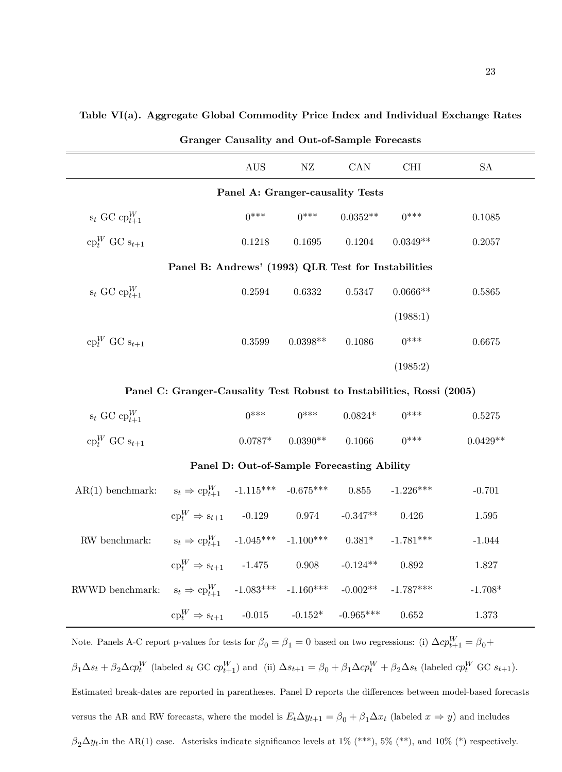| <b>Granger Causality and Out-of-Sample Forecasts</b>                  |                                                     |            |            |            |             |            |  |  |  |
|-----------------------------------------------------------------------|-----------------------------------------------------|------------|------------|------------|-------------|------------|--|--|--|
|                                                                       |                                                     | <b>AUS</b> | NZ         | CAN        | CHI         | <b>SA</b>  |  |  |  |
|                                                                       | Panel A: Granger-causality Tests                    |            |            |            |             |            |  |  |  |
| $s_t$ GC $cp_{t+1}^W$                                                 |                                                     | $0***$     | $0***$     | $0.0352**$ | $0***$      | 0.1085     |  |  |  |
| $\mathbf{c}_{p}^{W}$ GC $\mathbf{s}_{t+1}$                            |                                                     | 0.1218     | 0.1695     | 0.1204     | $0.0349**$  | 0.2057     |  |  |  |
|                                                                       | Panel B: Andrews' (1993) QLR Test for Instabilities |            |            |            |             |            |  |  |  |
| $s_t$ GC $cp_{t+1}^W$                                                 |                                                     | 0.2594     | 0.6332     | 0.5347     | $0.0666**$  | 0.5865     |  |  |  |
|                                                                       |                                                     |            |            |            | (1988:1)    |            |  |  |  |
| $cp_t^W$ GC $s_{t+1}$                                                 |                                                     | 0.3599     | $0.0398**$ | 0.1086     | $0***$      | 0.6675     |  |  |  |
|                                                                       |                                                     |            |            |            | (1985:2)    |            |  |  |  |
| Panel C: Granger-Causality Test Robust to Instabilities, Rossi (2005) |                                                     |            |            |            |             |            |  |  |  |
| $s_t$ GC $cp_{t+1}^W$                                                 |                                                     | $0***$     | $0***$     | $0.0824*$  | $0***$      | 0.5275     |  |  |  |
| $\operatorname{cp}^W_t$ GC $s_{t+1}$                                  |                                                     | $0.0787*$  | $0.0390**$ | 0.1066     | $0***$      | $0.0429**$ |  |  |  |
| Panel D: Out-of-Sample Forecasting Ability                            |                                                     |            |            |            |             |            |  |  |  |
| $AR(1)$ benchmark:                                                    | $s_t \Rightarrow cp_{t+1}^W$ -1.115*** -0.675***    |            |            | 0.855      | $-1.226***$ | $-0.701$   |  |  |  |
|                                                                       | $cp_t^W \Rightarrow s_{t+1}$ -0.129 0.974           |            |            | $-0.347**$ | 0.426       | 1.595      |  |  |  |

#### Table VI(a). Aggregate Global Commodity Price Index and Individual Exchange Rates

Note. Panels A-C report p-values for tests for  $\beta_0 = \beta_1 = 0$  based on two regressions: (i)  $\Delta c p_{t+1}^W = \beta_0 +$  $\beta_1 \Delta s_t + \beta_2 \Delta c p_t^W$  (labeled  $s_t$  GC  $c p_{t+1}^W$ ) and (ii)  $\Delta s_{t+1} = \beta_0 + \beta_1 \Delta c p_t^W + \beta_2 \Delta s_t$  (labeled  $c p_t^W$  GC  $s_{t+1}$ ). Estimated break-dates are reported in parentheses. Panel D reports the differences between model-based forecasts versus the AR and RW forecasts, where the model is  $E_t \Delta y_{t+1} = \beta_0 + \beta_1 \Delta x_t$  (labeled  $x \Rightarrow y$ ) and includes  $\beta_2\Delta y_t$  in the AR(1) case. Asterisks indicate significance levels at 1% (\*\*\*), 5% (\*\*), and 10% (\*) respectively.

 $s_t \Rightarrow c p_{t+1}^W$  -1.045\*\*\* -1.100\*\*\* 0.381\* -1.781\*\*\* -1.044

 $\text{cp}^W_t \Rightarrow \text{s}_{t+1}$  -1.475 0.908 -0.124\*\* 0.892 1.827

 $\text{cp}^W_t \Rightarrow \text{s}_{t+1}$  -0.015 -0.152\* -0.965\*\*\* 0.652 1.373

 $t_{t+1}^{W}$  -1.083\*\*\* -1.160\*\*\* -0.002\*\* -1.787\*\*\* -1.708\*

 ${\rm RW}$  benchmark:

 ${\hbox{RWWD}}$  benchmark: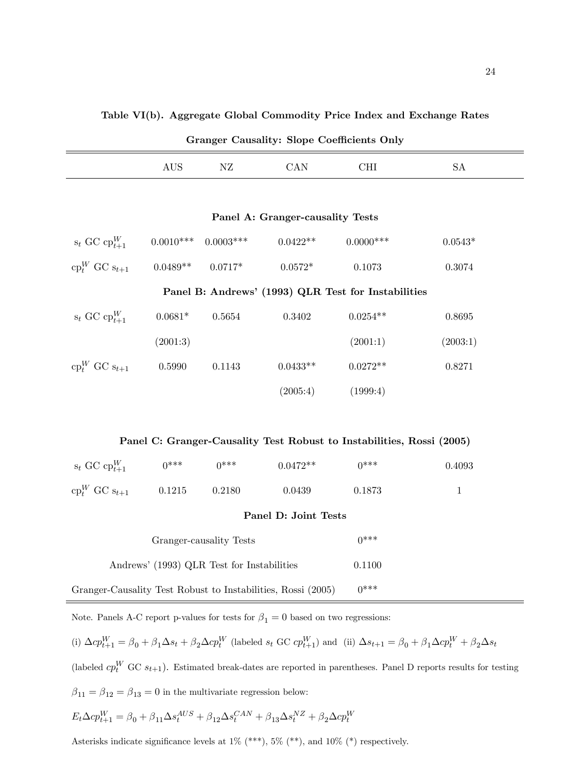| Granger Causality: Slope Coefficients Only |  |  |     |    |  |  |
|--------------------------------------------|--|--|-----|----|--|--|
|                                            |  |  | 'AN | 'H |  |  |

|  | Panel A: Granger-causality Tests |  |
|--|----------------------------------|--|
|--|----------------------------------|--|

| $s_t$ GC $cp_{t+1}^W$ | $0.0010***$ | $0.0003***$ | $0.0422**$                                          | $0.0000$ *** | $0.0543*$ |
|-----------------------|-------------|-------------|-----------------------------------------------------|--------------|-----------|
| $cp_t^W$ GC $s_{t+1}$ | $0.0489**$  | $0.0717*$   | $0.0572*$                                           | 0.1073       | 0.3074    |
|                       |             |             | Panel B: Andrews' (1993) QLR Test for Instabilities |              |           |
| $s_t$ GC $cp_{t+1}^W$ | $0.0681*$   | 0.5654      | 0.3402                                              | $0.0254**$   | 0.8695    |
|                       | (2001:3)    |             |                                                     | (2001:1)     | (2003:1)  |
| $cp_t^W$ GC $s_{t+1}$ | 0.5990      | 0.1143      | $0.0433**$                                          | $0.0272**$   | 0.8271    |
|                       |             |             | (2005:4)                                            | (1999:4)     |           |

| Panel C: Granger-Causality Test Robust to Instabilities, Rossi (2005) |  |  |  |
|-----------------------------------------------------------------------|--|--|--|
|                                                                       |  |  |  |

| $s_t$ GC $cp_{t+1}^W$                | $0***$ | $0***$ | $0.0472**$ | $0***$ | 0.4093 |  |  |
|--------------------------------------|--------|--------|------------|--------|--------|--|--|
| $\operatorname{cp}^W_t$ GC $s_{t+1}$ | 0.1215 | 0.2180 | 0.0439     | 0.1873 |        |  |  |
| Panel D: Joint Tests                 |        |        |            |        |        |  |  |
| Granger-causality Tests              |        |        |            | $0***$ |        |  |  |

| Granger-Causality Test Robust to Instabilities, Rossi (2005) |  |  |  |  |  |  | $0***$ |
|--------------------------------------------------------------|--|--|--|--|--|--|--------|
|--------------------------------------------------------------|--|--|--|--|--|--|--------|

Note. Panels A-C report p-values for tests for  $\beta_1=0$  based on two regressions:

Andrews' (1993) QLR Test for Instabilities 0.1100

(i)  $\Delta cp_{t+1}^W = \beta_0 + \beta_1 \Delta s_t + \beta_2 \Delta cp_t^W$  (labeled  $s_t$  GC  $cp_{t+1}^W$ ) and (ii)  $\Delta s_{t+1} = \beta_0 + \beta_1 \Delta cp_t^W + \beta_2 \Delta s_t$ 

(labeled  $cp_t^W$  GC  $s_{t+1}$ ). Estimated break-dates are reported in parentheses. Panel D reports results for testing  $\beta_{11}=\beta_{12}=\beta_{13}=0$  in the multivariate regression below:

$$
E_t\Delta cp_{t+1}^W = \beta_0 + \beta_{11}\Delta s_t^{AUS} + \beta_{12}\Delta s_t^{CAN} + \beta_{13}\Delta s_t^{NZ} + \beta_2\Delta cp_t^W
$$

Asterisks indicate significance levels at 1% (\*\*\*), 5% (\*\*), and 10% (\*) respectively.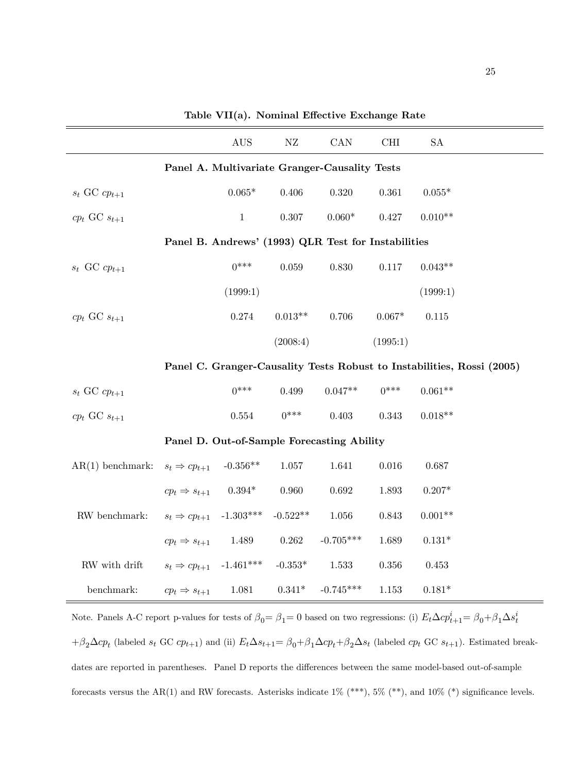|                     |                            | AUS          | ${\rm NZ}$ | CAN                                                 | <b>CHI</b> | <b>SA</b> |                                                                        |
|---------------------|----------------------------|--------------|------------|-----------------------------------------------------|------------|-----------|------------------------------------------------------------------------|
|                     |                            |              |            | Panel A. Multivariate Granger-Causality Tests       |            |           |                                                                        |
| $s_t$ GC $cp_{t+1}$ |                            | $0.065*$     | 0.406      | 0.320                                               | 0.361      | $0.055*$  |                                                                        |
| $cp_t$ GC $s_{t+1}$ |                            | $\mathbf{1}$ | 0.307      | $0.060*$                                            | 0.427      | $0.010**$ |                                                                        |
|                     |                            |              |            | Panel B. Andrews' (1993) QLR Test for Instabilities |            |           |                                                                        |
| $s_t$ GC $cp_{t+1}$ |                            | $0***$       | $0.059\,$  | 0.830                                               | 0.117      | $0.043**$ |                                                                        |
|                     |                            | (1999:1)     |            |                                                     |            | (1999:1)  |                                                                        |
| $cp_t$ GC $s_{t+1}$ |                            | 0.274        | $0.013**$  | 0.706                                               | $0.067*$   | $0.115\,$ |                                                                        |
|                     |                            |              | (2008:4)   |                                                     | (1995:1)   |           |                                                                        |
|                     |                            |              |            |                                                     |            |           | Panel C. Granger-Causality Tests Robust to Instabilities, Rossi (2005) |
| $s_t$ GC $cp_{t+1}$ |                            | $0***$       | 0.499      | $0.047**$                                           | $0***$     | $0.061**$ |                                                                        |
| $cp_t$ GC $s_{t+1}$ |                            | 0.554        | $0***$     | 0.403                                               | 0.343      | $0.018**$ |                                                                        |
|                     |                            |              |            | Panel D. Out-of-Sample Forecasting Ability          |            |           |                                                                        |
| $AR(1)$ benchmark:  | $s_t \Rightarrow cp_{t+1}$ | $-0.356**$   | $1.057\,$  | 1.641                                               | $0.016\,$  | 0.687     |                                                                        |
|                     | $cp_t \Rightarrow s_{t+1}$ | $0.394*$     | 0.960      | 0.692                                               | 1.893      | $0.207*$  |                                                                        |
| RW benchmark:       | $s_t \Rightarrow cp_{t+1}$ | $-1.303***$  | $-0.522**$ | 1.056                                               | 0.843      | $0.001**$ |                                                                        |
|                     | $cp_t \Rightarrow s_{t+1}$ | 1.489        | 0.262      | $-0.705***$                                         | 1.689      | $0.131*$  |                                                                        |
| RW with drift       | $s_t \Rightarrow cp_{t+1}$ | $-1.461***$  | $-0.353*$  | 1.533                                               | $0.356\,$  | $0.453\,$ |                                                                        |
| benchmark:          | $cp_t \Rightarrow s_{t+1}$ | 1.081        | $0.341*$   | $-0.745***$                                         | 1.153      | $0.181*$  |                                                                        |
|                     |                            |              |            |                                                     |            |           |                                                                        |

Table VII(a). Nominal Effective Exchange Rate

Note. Panels A-C report p-values for tests of  $\beta_0 = \beta_1 = 0$  based on two regressions: (i)  $E_t \Delta c p_{t+1}^i = \beta_0 + \beta_1 \Delta s_t^i$  $+\beta_2\Delta cp_t$  (labeled  $s_t$  GC  $cp_{t+1}$ ) and (ii)  $E_t\Delta s_{t+1} = \beta_0 + \beta_1\Delta cp_t + \beta_2\Delta s_t$  (labeled  $cp_t$  GC  $s_{t+1}$ ). Estimated breakdates are reported in parentheses. Panel D reports the differences between the same model-based out-of-sample forecasts versus the AR(1) and RW forecasts. Asterisks indicate  $1\%$  (\*\*\*),  $5\%$  (\*\*), and  $10\%$  (\*) significance levels.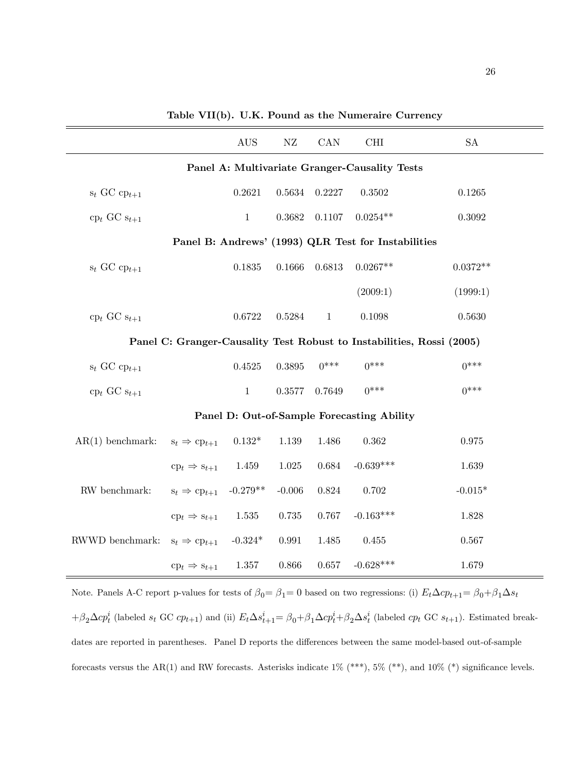|                                   |                                               | $\operatorname{AUS}$ | NZ        | CAN          | CHI                                                 | ${\rm SA}$                                                            |  |  |  |
|-----------------------------------|-----------------------------------------------|----------------------|-----------|--------------|-----------------------------------------------------|-----------------------------------------------------------------------|--|--|--|
|                                   | Panel A: Multivariate Granger-Causality Tests |                      |           |              |                                                     |                                                                       |  |  |  |
| $s_t$ GC $cp_{t+1}$               |                                               | 0.2621               | 0.5634    | 0.2227       | 0.3502                                              | 0.1265                                                                |  |  |  |
| $\text{cp}_t$ GC $\text{s}_{t+1}$ |                                               | $\mathbf{1}$         | 0.3682    | 0.1107       | $0.0254**$                                          | 0.3092                                                                |  |  |  |
|                                   |                                               |                      |           |              | Panel B: Andrews' (1993) QLR Test for Instabilities |                                                                       |  |  |  |
| $s_t$ GC $cp_{t+1}$               |                                               | 0.1835               | 0.1666    | 0.6813       | $0.0267**$                                          | $0.0372**$                                                            |  |  |  |
|                                   |                                               |                      |           |              | (2009:1)                                            | (1999:1)                                                              |  |  |  |
| $\text{cp}_t$ GC $\text{s}_{t+1}$ |                                               | 0.6722               | 0.5284    | $\mathbf{1}$ | 0.1098                                              | 0.5630                                                                |  |  |  |
|                                   |                                               |                      |           |              |                                                     | Panel C: Granger-Causality Test Robust to Instabilities, Rossi (2005) |  |  |  |
| $s_t$ GC $cp_{t+1}$               |                                               | 0.4525               | 0.3895    | $0***$       | $0***$                                              | $0***$                                                                |  |  |  |
| $\text{cp}_t$ GC $\text{s}_{t+1}$ |                                               | $1\,$                | 0.3577    | 0.7649       | $0***$                                              | $0***$                                                                |  |  |  |
|                                   |                                               |                      |           |              | Panel D: Out-of-Sample Forecasting Ability          |                                                                       |  |  |  |
| $AR(1)$ benchmark:                | $s_t \Rightarrow cp_{t+1}$                    | $0.132*$             | 1.139     | 1.486        | 0.362                                               | 0.975                                                                 |  |  |  |
|                                   | $\text{cp}_t \Rightarrow \text{s}_{t+1}$      | 1.459                | $1.025\,$ | 0.684        | $-0.639***$                                         | 1.639                                                                 |  |  |  |
| RW benchmark:                     | $s_t \Rightarrow cp_{t+1}$                    | $-0.279**$           | $-0.006$  | 0.824        | 0.702                                               | $-0.015*$                                                             |  |  |  |
|                                   | $\text{cp}_t \Rightarrow \text{s}_{t+1}$      | $1.535\,$            | $0.735\,$ | 0.767        | $-0.163***$                                         | 1.828                                                                 |  |  |  |
| RWWD benchmark:                   | $s_t \Rightarrow cp_{t+1}$                    | $-0.324*$            | 0.991     | 1.485        | 0.455                                               | 0.567                                                                 |  |  |  |
|                                   | $\text{cp}_t \Rightarrow \text{s}_{t+1}$      | 1.357                | 0.866     | 0.657        | $-0.628***$                                         | 1.679                                                                 |  |  |  |

Table VII(b). U.K. Pound as the Numeraire Currency

Note. Panels A-C report p-values for tests of  $\beta_0 = \beta_1 = 0$  based on two regressions: (i)  $E_t \Delta c p_{t+1} = \beta_0 + \beta_1 \Delta s_t$  $+\beta_2\Delta cp_t^i$  (labeled  $s_t$  GC  $cp_{t+1}$ ) and (ii)  $E_t\Delta s_{t+1}^i = \beta_0 + \beta_1\Delta cp_t^i + \beta_2\Delta s_t^i$  (labeled  $cp_t$  GC  $s_{t+1}$ ). Estimated breakdates are reported in parentheses. Panel D reports the differences between the same model-based out-of-sample forecasts versus the AR(1) and RW forecasts. Asterisks indicate  $1\%$  (\*\*\*),  $5\%$  (\*\*), and  $10\%$  (\*) significance levels.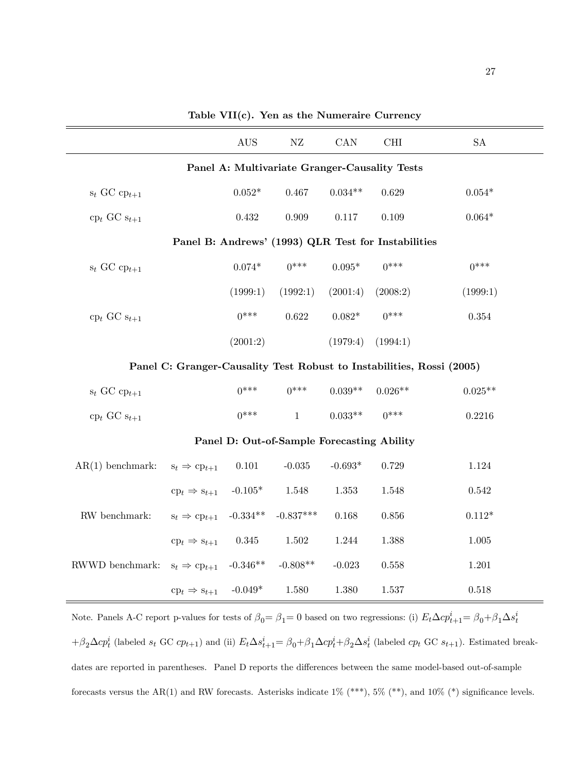|                                   |                                                     | <b>AUS</b> | NZ                                            | CAN            | <b>CHI</b> | SA                                                                    |
|-----------------------------------|-----------------------------------------------------|------------|-----------------------------------------------|----------------|------------|-----------------------------------------------------------------------|
|                                   |                                                     |            | Panel A: Multivariate Granger-Causality Tests |                |            |                                                                       |
| $s_t$ GC $cp_{t+1}$               |                                                     | $0.052*$   | 0.467                                         | $0.034**$      | 0.629      | $0.054*$                                                              |
| $\text{cp}_t$ GC $\text{s}_{t+1}$ |                                                     | $0.432\,$  | $0.909\,$                                     | $0.117\,$      | 0.109      | $0.064*$                                                              |
|                                   | Panel B: Andrews' (1993) QLR Test for Instabilities |            |                                               |                |            |                                                                       |
| $s_t$ GC $cp_{t+1}$               |                                                     | $0.074*$   | $0***$                                        | $0.095^{\ast}$ | $0***$     | $0***$                                                                |
|                                   |                                                     | (1999:1)   | (1992:1)                                      | (2001:4)       | (2008:2)   | (1999:1)                                                              |
| $\text{cp}_t$ GC $\text{s}_{t+1}$ |                                                     | $0***$     | 0.622                                         | $0.082*$       | $0***$     | $0.354\,$                                                             |
|                                   |                                                     | (2001:2)   |                                               | (1979:4)       | (1994:1)   |                                                                       |
|                                   |                                                     |            |                                               |                |            | Panel C: Granger-Causality Test Robust to Instabilities, Rossi (2005) |
| $s_t$ GC $cp_{t+1}$               |                                                     | $0***$     | $0***$                                        | $0.039**$      | $0.026**$  | $0.025**$                                                             |
| $\text{cp}_t$ GC $\text{s}_{t+1}$ |                                                     | $0***$     | $\mathbf{1}$                                  | $0.033**$      | $0***$     | 0.2216                                                                |
|                                   |                                                     |            | Panel D: Out-of-Sample Forecasting Ability    |                |            |                                                                       |
| $AR(1)$ benchmark:                | $s_t \Rightarrow cp_{t+1}$                          | $0.101\,$  | $-0.035$                                      | $-0.693*$      | 0.729      | 1.124                                                                 |
|                                   | $\text{cp}_t \Rightarrow \text{s}_{t+1}$            | $-0.105*$  | 1.548                                         | 1.353          | 1.548      | 0.542                                                                 |
| ${\rm RW}$ benchmark:             | $s_t \Rightarrow cp_{t+1}$                          | $-0.334**$ | $-0.837***$                                   | 0.168          | 0.856      | $0.112*$                                                              |
|                                   | $\text{cp}_t \Rightarrow \text{s}_{t+1}$            | $0.345\,$  | 1.502                                         | 1.244          | 1.388      | $1.005\,$                                                             |
| ${\hbox{RWWD}}$ benchmark:        | $s_t \Rightarrow cp_{t+1}$                          | $-0.346**$ | $-0.808**$                                    | $-0.023$       | 0.558      | 1.201                                                                 |
|                                   | $\text{cp}_t \Rightarrow \text{s}_{t+1}$            | $-0.049*$  | 1.580                                         | 1.380          | 1.537      | 0.518                                                                 |

Table VII(c). Yen as the Numeraire Currency

Note. Panels A-C report p-values for tests of  $\beta_0 = \beta_1 = 0$  based on two regressions: (i)  $E_t \Delta c p_{t+1}^i = \beta_0 + \beta_1 \Delta s_t^i$  $+\beta_2\Delta cp_t^i$  (labeled  $s_t$  GC  $cp_{t+1}$ ) and (ii)  $E_t\Delta s_{t+1}^i = \beta_0 + \beta_1\Delta cp_t^i + \beta_2\Delta s_t^i$  (labeled  $cp_t$  GC  $s_{t+1}$ ). Estimated breakdates are reported in parentheses. Panel D reports the differences between the same model-based out-of-sample forecasts versus the AR(1) and RW forecasts. Asterisks indicate  $1\%$  (\*\*\*),  $5\%$  (\*\*), and  $10\%$  (\*) significance levels.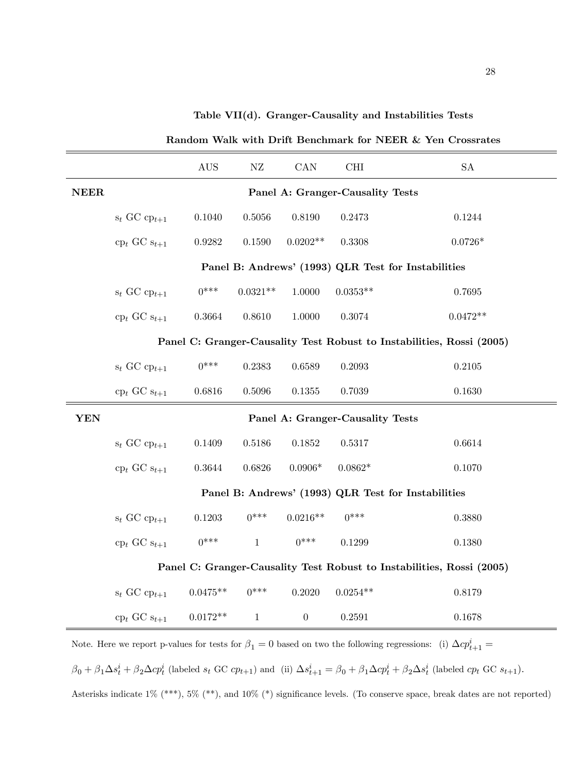Table VII(d). Granger-Causality and Instabilities Tests

|             |                                                                       | <b>AUS</b> | NZ           | CAN              | <b>CHI</b>                       | SA                                                                    |  |  |
|-------------|-----------------------------------------------------------------------|------------|--------------|------------------|----------------------------------|-----------------------------------------------------------------------|--|--|
| <b>NEER</b> |                                                                       |            |              |                  | Panel A: Granger-Causality Tests |                                                                       |  |  |
|             | $s_t$ GC $cp_{t+1}$                                                   | 0.1040     | 0.5056       | $0.8190\,$       | 0.2473                           | 0.1244                                                                |  |  |
|             | $\text{cp}_t$ GC $\text{s}_{t+1}$                                     | 0.9282     | 0.1590       | $0.0202**$       | 0.3308                           | $0.0726*$                                                             |  |  |
|             |                                                                       |            |              |                  |                                  | Panel B: Andrews' (1993) QLR Test for Instabilities                   |  |  |
|             | $s_t$ GC $cp_{t+1}$                                                   | $0***$     | $0.0321**$   | 1.0000           | $0.0353**$                       | 0.7695                                                                |  |  |
|             | $\text{cp}_t$ GC $\text{s}_{t+1}$                                     | 0.3664     | 0.8610       | 1.0000           | 0.3074                           | $0.0472**$                                                            |  |  |
|             | Panel C: Granger-Causality Test Robust to Instabilities, Rossi (2005) |            |              |                  |                                  |                                                                       |  |  |
|             | $s_t$ GC $cp_{t+1}$                                                   | $0***$     | 0.2383       | 0.6589           | 0.2093                           | 0.2105                                                                |  |  |
|             | $\text{cp}_t$ GC $\text{s}_{t+1}$                                     | 0.6816     | 0.5096       | 0.1355           | 0.7039                           | 0.1630                                                                |  |  |
| <b>YEN</b>  |                                                                       |            |              |                  | Panel A: Granger-Causality Tests |                                                                       |  |  |
|             | $s_t$ GC $cp_{t+1}$                                                   | 0.1409     | 0.5186       | 0.1852           | 0.5317                           | 0.6614                                                                |  |  |
|             | $\text{cp}_t$ GC $\text{s}_{t+1}$                                     | 0.3644     | 0.6826       | $0.0906*$        | $0.0862*$                        | 0.1070                                                                |  |  |
|             |                                                                       |            |              |                  |                                  | Panel B: Andrews' (1993) QLR Test for Instabilities                   |  |  |
|             | $s_t$ GC $cp_{t+1}$                                                   | 0.1203     | $0***$       | $0.0216**$       | $0***$                           | 0.3880                                                                |  |  |
|             | $\text{cp}_t$ GC $\text{s}_{t+1}$                                     | $0***$     | $\mathbf{1}$ | $0***$           | 0.1299                           | 0.1380                                                                |  |  |
|             |                                                                       |            |              |                  |                                  | Panel C: Granger-Causality Test Robust to Instabilities, Rossi (2005) |  |  |
|             | $s_t$ GC $cp_{t+1}$                                                   | $0.0475**$ | $0***$       | 0.2020           | $0.0254**$                       | 0.8179                                                                |  |  |
|             | $\text{cp}_t$ GC $\text{s}_{t+1}$                                     | $0.0172**$ | $\mathbf{1}$ | $\boldsymbol{0}$ | 0.2591                           | 0.1678                                                                |  |  |

Random Walk with Drift Benchmark for NEER & Yen Crossrates

Note. Here we report p-values for tests for  $\beta_1 = 0$  based on two the following regressions: (i)  $\Delta c p_{t+1}^i =$  $\beta_0 + \beta_1 \Delta s_t^i + \beta_2 \Delta c p_t^i$  (labeled  $s_t$  GC  $cp_{t+1}$ ) and (ii)  $\Delta s_{t+1}^i = \beta_0 + \beta_1 \Delta c p_t^i + \beta_2 \Delta s_t^i$  (labeled  $cp_t$  GC  $s_{t+1}$ ). Asterisks indicate 1% (\*\*\*), 5% (\*\*), and 10% (\*) significance levels. (To conserve space, break dates are not reported)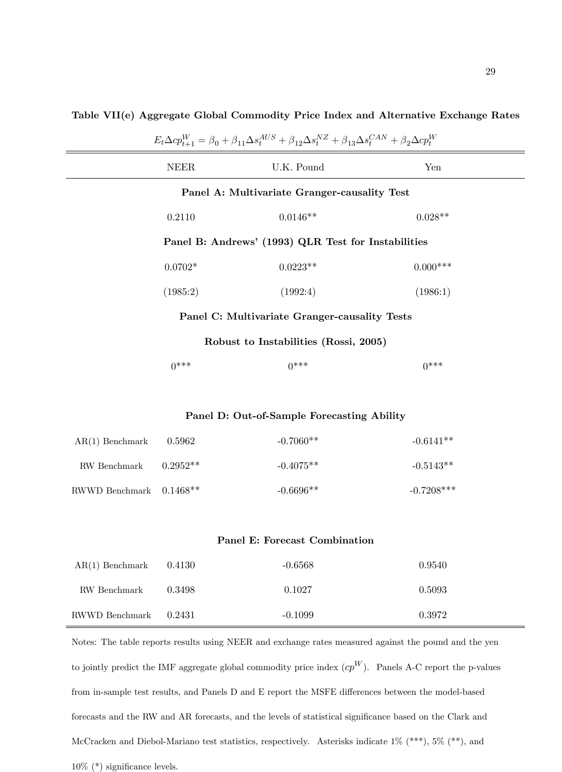| $E_t\Delta cp_{t+1}^W = \beta_0 + \beta_{11}\Delta s_t^{AUS} + \beta_{12}\Delta s_t^{NZ} + \beta_{13}\Delta s_t^{CAN} + \beta_2\Delta cp_t^W$ |                     |                                                     |              |  |  |  |  |
|-----------------------------------------------------------------------------------------------------------------------------------------------|---------------------|-----------------------------------------------------|--------------|--|--|--|--|
|                                                                                                                                               | <b>NEER</b>         | U.K. Pound                                          | Yen          |  |  |  |  |
|                                                                                                                                               |                     | Panel A: Multivariate Granger-causality Test        |              |  |  |  |  |
|                                                                                                                                               | 0.2110              | $0.0146**$                                          | $0.028**$    |  |  |  |  |
|                                                                                                                                               |                     | Panel B: Andrews' (1993) QLR Test for Instabilities |              |  |  |  |  |
|                                                                                                                                               | $0.0702*$           | $0.0223**$                                          | $0.000***$   |  |  |  |  |
|                                                                                                                                               | (1985:2)            | (1992:4)                                            | (1986:1)     |  |  |  |  |
|                                                                                                                                               |                     | Panel C: Multivariate Granger-causality Tests       |              |  |  |  |  |
| Robust to Instabilities (Rossi, 2005)                                                                                                         |                     |                                                     |              |  |  |  |  |
|                                                                                                                                               | $0***$              | $0***$                                              | $0***$       |  |  |  |  |
|                                                                                                                                               |                     |                                                     |              |  |  |  |  |
|                                                                                                                                               |                     | Panel D: Out-of-Sample Forecasting Ability          |              |  |  |  |  |
| $AR(1)$ Benchmark                                                                                                                             | 0.5962              | $-0.7060**$                                         | $-0.6141**$  |  |  |  |  |
| RW Benchmark                                                                                                                                  | $0.2952^{\ast\ast}$ | $-0.4075**$                                         | $-0.5143**$  |  |  |  |  |
| RWWD Benchmark                                                                                                                                | $0.1468**$          | $-0.6696**$                                         | $-0.7208***$ |  |  |  |  |
|                                                                                                                                               |                     |                                                     |              |  |  |  |  |
|                                                                                                                                               |                     | Panel E: Forecast Combination                       |              |  |  |  |  |
| $AR(1)$ Benchmark                                                                                                                             | 0.4130              | $-0.6568$                                           | 0.9540       |  |  |  |  |
| RW Benchmark                                                                                                                                  | 0.3498              | 0.1027                                              | 0.5093       |  |  |  |  |

Table VII(e) Aggregate Global Commodity Price Index and Alternative Exchange Rates

to jointly predict the IMF aggregate global commodity price index  $cp^W$ ). Panels A-C report the p-values from in-sample test results, and Panels D and E report the MSFE differences between the model-based forecasts and the RW and AR forecasts, and the levels of statistical significance based on the Clark and McCracken and Diebol-Mariano test statistics, respectively. Asterisks indicate  $1\%$  (\*\*\*),  $5\%$  (\*\*), and  $10\%$  (\*) significance levels.

Notes: The table reports results using NEER and exchange rates measured against the pound and the yen

RWWD Benchmark 0.2431 -0.1099 0.3972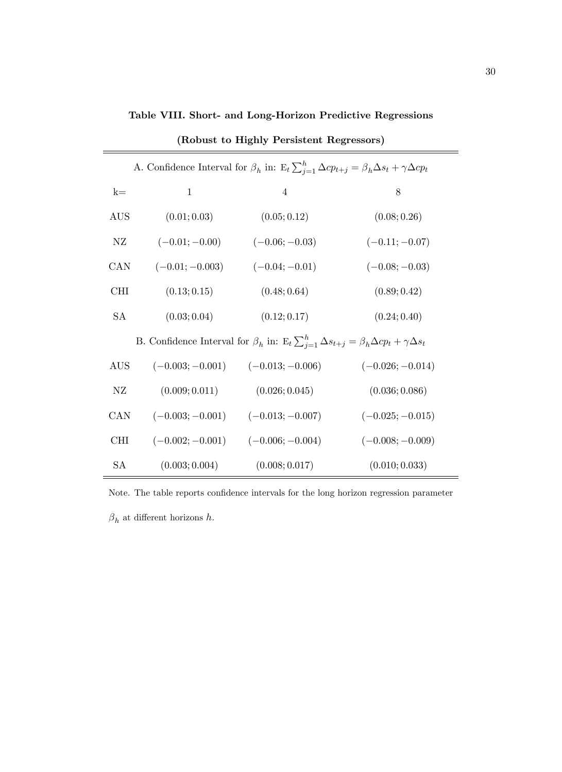Table VIII. Short- and Long-Horizon Predictive Regressions

|            | A. Confidence Interval for $\beta_h$ in: $E_t \sum_{j=1}^h \Delta cp_{t+j} = \beta_h \Delta s_t + \gamma \Delta cp_t$ |                                       |                    |  |  |  |  |  |  |
|------------|-----------------------------------------------------------------------------------------------------------------------|---------------------------------------|--------------------|--|--|--|--|--|--|
| $k=$       | $\mathbf{1}$                                                                                                          | $\overline{4}$                        | 8                  |  |  |  |  |  |  |
| <b>AUS</b> | (0.01; 0.03)                                                                                                          | (0.05; 0.12)                          | (0.08; 0.26)       |  |  |  |  |  |  |
| NZ         | $(-0.01; -0.00)$                                                                                                      | $(-0.06; -0.03)$                      | $(-0.11; -0.07)$   |  |  |  |  |  |  |
| CAN        | $(-0.01; -0.003)$                                                                                                     | $(-0.04; -0.01)$                      | $(-0.08; -0.03)$   |  |  |  |  |  |  |
| <b>CHI</b> | (0.13; 0.15)                                                                                                          | (0.48; 0.64)                          | (0.89; 0.42)       |  |  |  |  |  |  |
| <b>SA</b>  | (0.03; 0.04)                                                                                                          | (0.12; 0.17)                          | (0.24; 0.40)       |  |  |  |  |  |  |
|            | B. Confidence Interval for $\beta_h$ in: $E_t \sum_{j=1}^h \Delta s_{t+j} = \beta_h \Delta c p_t + \gamma \Delta s_t$ |                                       |                    |  |  |  |  |  |  |
| <b>AUS</b> | $(-0.003; -0.001)$                                                                                                    | $(-0.013; -0.006)$                    | $(-0.026; -0.014)$ |  |  |  |  |  |  |
| NZ         | (0.009; 0.011)                                                                                                        | (0.026; 0.045)                        | (0.036; 0.086)     |  |  |  |  |  |  |
| CAN        |                                                                                                                       | $(-0.003; -0.001)$ $(-0.013; -0.007)$ | $(-0.025; -0.015)$ |  |  |  |  |  |  |
| <b>CHI</b> | $(-0.002; -0.001)$ $(-0.006; -0.004)$                                                                                 |                                       | $(-0.008; -0.009)$ |  |  |  |  |  |  |
| SA         | (0.003; 0.004)                                                                                                        | (0.008; 0.017)                        | (0.010; 0.033)     |  |  |  |  |  |  |

(Robust to Highly Persistent Regressors)

Note. The table reports confidence intervals for the long horizon regression parameter  $\beta_h$  at different horizons h.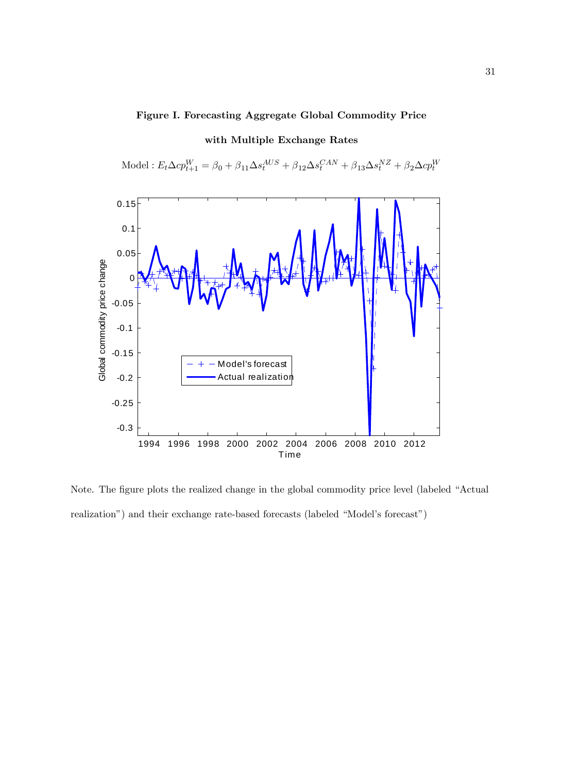# Figure I. Forecasting Aggregate Global Commodity Price



with Multiple Exchange Rates

Model :  $E_t \Delta c p_{t+1}^W = \beta_0 + \beta_{11} \Delta s_t^{AUS} + \beta_{12} \Delta s_t^{CAN} + \beta_{13} \Delta s_t^{NZ} + \beta_2 \Delta c p_t^W$ 

Note. The figure plots the realized change in the global commodity price level (labeled "Actual realization") and their exchange rate-based forecasts (labeled "Model's forecast")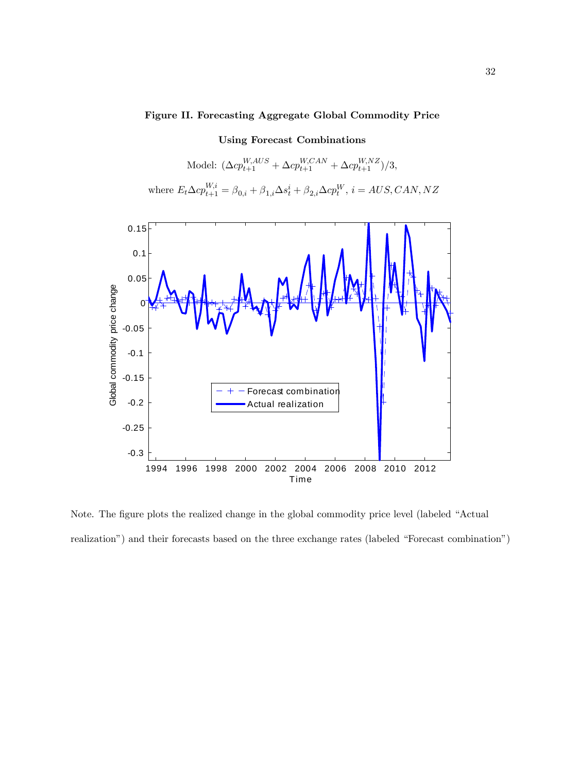# Figure II. Forecasting Aggregate Global Commodity Price

Using Forecast Combinations Model:  $(\Delta cp_{t+1}^{W,ALS} + \Delta cp_{t+1}^{W,CAN} + \Delta cp_{t+1}^{W, NZ})/3,$ where  $E_t \Delta c p_{t+1}^{W,i} = \beta_{0,i} + \beta_{1,i} \Delta s_t^i + \beta_{2,i} \Delta c p_t^W$ ,  $i = AUS, CAN, NZ$ 



Note. The figure plots the realized change in the global commodity price level (labeled "Actual realization") and their forecasts based on the three exchange rates (labeled "Forecast combination")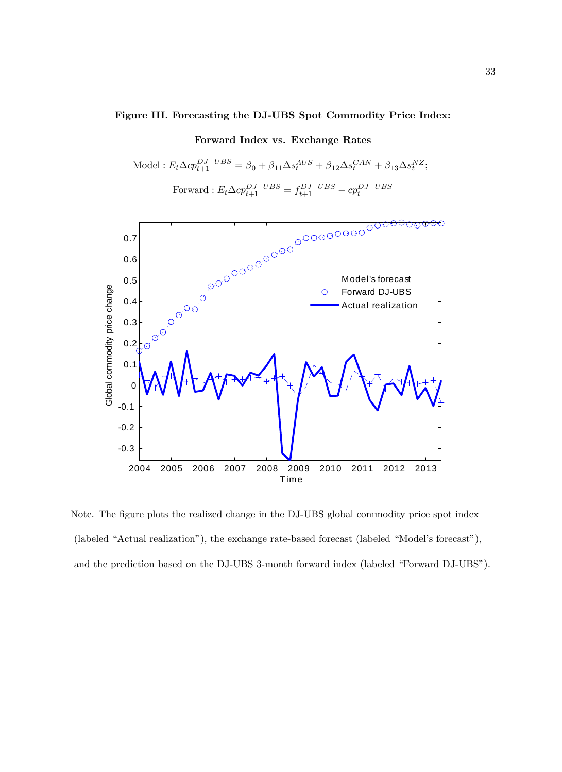# Figure III. Forecasting the DJ-UBS Spot Commodity Price Index:

# Forward Index vs. Exchange Rates

Model : 
$$
E_t \Delta c p_{t+1}^{DJ-UBS} = \beta_0 + \beta_{11} \Delta s_t^{AUS} + \beta_{12} \Delta s_t^{CAN} + \beta_{13} \Delta s_t^{NZ};
$$
  
Forward :  $E_t \Delta c p_{t+1}^{DJ-UBS} = f_{t+1}^{DJ-UBS} - c p_t^{DJ-UBS}$ 



Note. The figure plots the realized change in the DJ-UBS global commodity price spot index  $($ labeled "Actual realization"), the exchange rate-based forecast  $($ labeled "Model's forecast" $)$ , and the prediction based on the DJ-UBS 3-month forward index (labeled "Forward DJ-UBS").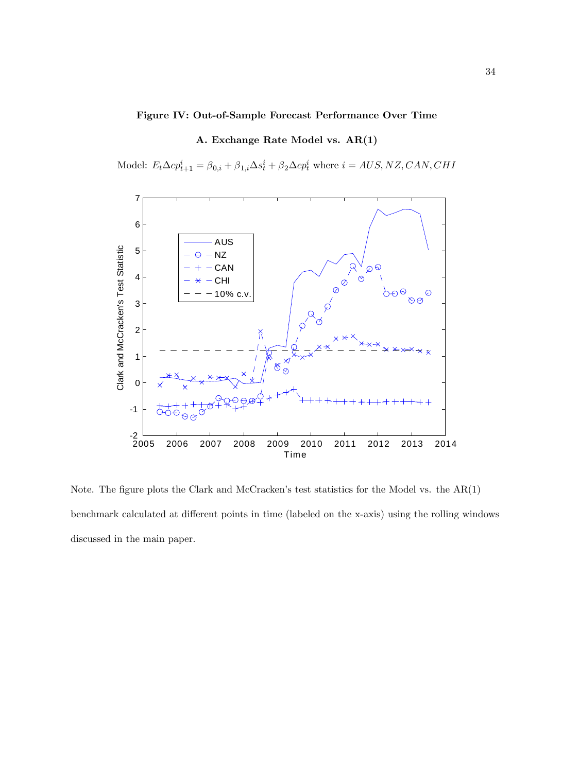# Figure IV: Out-of-Sample Forecast Performance Over Time

# A. Exchange Rate Model vs. AR(1)

Model:  $E_t \Delta c p_{t+1}^i = \beta_{0,i} + \beta_{1,i} \Delta s_t^i + \beta_2 \Delta c p_t^i$  where  $i = AUS, NZ, CAN, CHI$ 



Note. The figure plots the Clark and McCracken's test statistics for the Model vs. the  $AR(1)$ benchmark calculated at different points in time (labeled on the x-axis) using the rolling windows discussed in the main paper.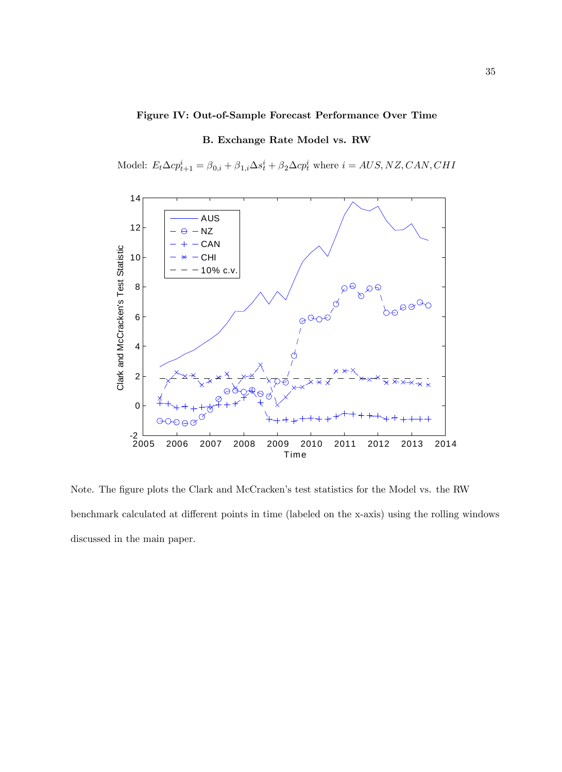# Figure IV: Out-of-Sample Forecast Performance Over Time

# B. Exchange Rate Model vs. RW

Model:  $E_t \Delta c p_{t+1}^i = \beta_{0,i} + \beta_{1,i} \Delta s_t^i + \beta_2 \Delta c p_t^i$  where  $i = AUS, NZ, CAN, CHI$ 



Note. The figure plots the Clark and McCracken's test statistics for the Model vs. the RW benchmark calculated at different points in time (labeled on the x-axis) using the rolling windows discussed in the main paper.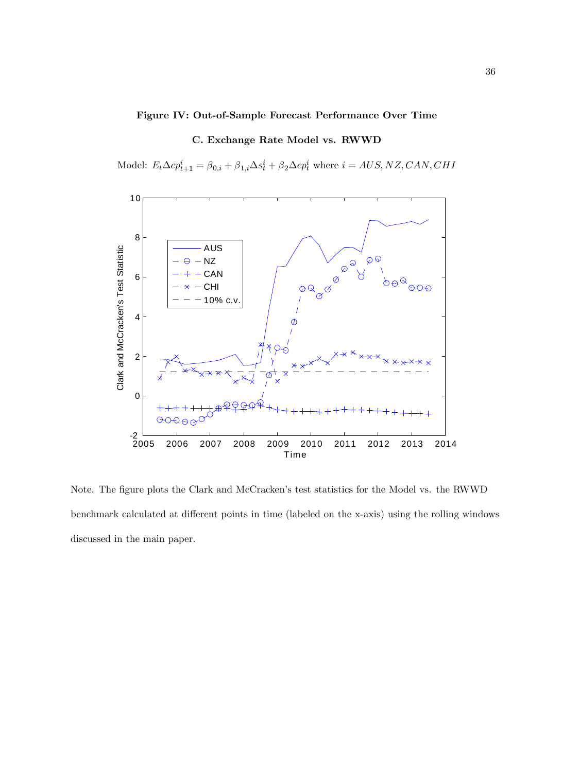# Figure IV: Out-of-Sample Forecast Performance Over Time

# C. Exchange Rate Model vs. RWWD

Model:  $E_t \Delta c p_{t+1}^i = \beta_{0,i} + \beta_{1,i} \Delta s_t^i + \beta_2 \Delta c p_t^i$  where  $i = AUS, NZ, CAN, CHI$ 



Note. The figure plots the Clark and McCracken's test statistics for the Model vs. the RWWD benchmark calculated at different points in time (labeled on the x-axis) using the rolling windows discussed in the main paper.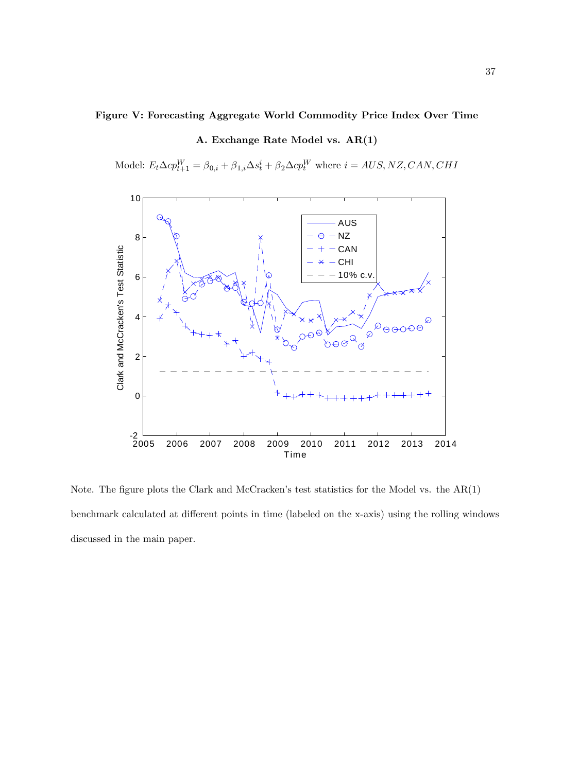# Figure V: Forecasting Aggregate World Commodity Price Index Over Time

# A. Exchange Rate Model vs. AR(1)

Model:  $E_t \Delta cp_{t+1}^W = \beta_{0,i} + \beta_{1,i} \Delta s_t^i + \beta_2 \Delta cp_t^W$  where  $i = AUS, NZ, CAN, CHI$ 



Note. The figure plots the Clark and McCracken's test statistics for the Model vs. the  $AR(1)$ benchmark calculated at different points in time (labeled on the x-axis) using the rolling windows discussed in the main paper.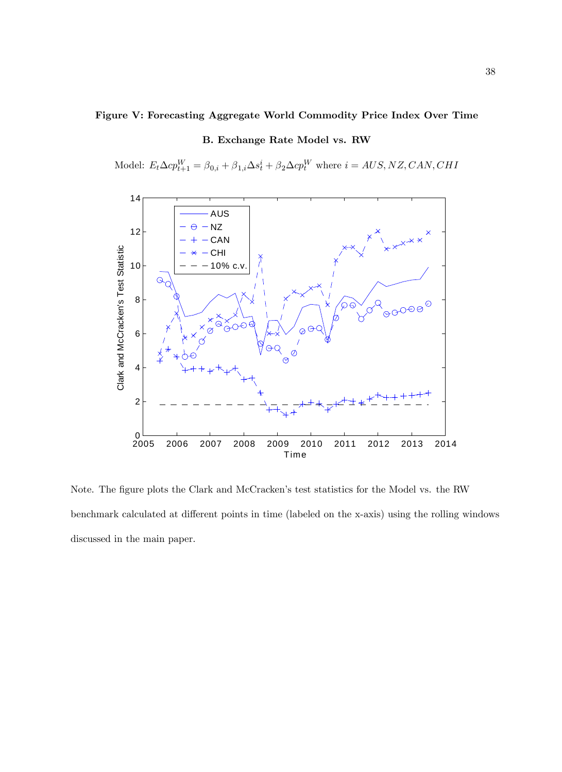# Figure V: Forecasting Aggregate World Commodity Price Index Over Time

# B. Exchange Rate Model vs. RW

Model:  $E_t \Delta c p_{t+1}^W = \beta_{0,i} + \beta_{1,i} \Delta s_t^i + \beta_2 \Delta c p_t^W$  where  $i = AUS, NZ, CAN, CHI$ 



Note. The figure plots the Clark and McCracken's test statistics for the Model vs. the RW benchmark calculated at different points in time (labeled on the x-axis) using the rolling windows discussed in the main paper.